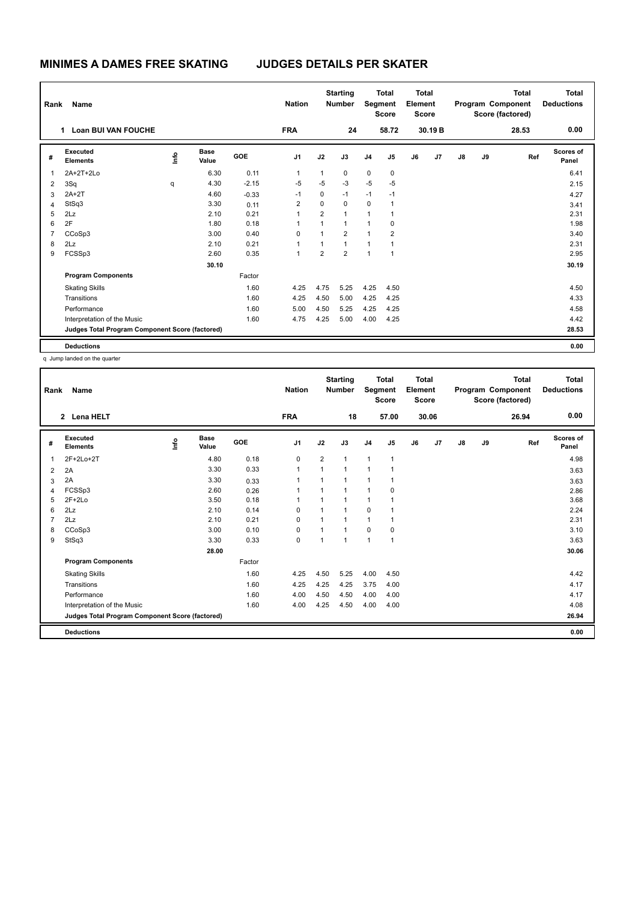| Rank           | Name                                            |      |                      |            | <b>Nation</b>  |                | <b>Starting</b><br><b>Number</b> |                | <b>Total</b><br>Segment<br><b>Score</b> | <b>Total</b><br>Element<br><b>Score</b> |         |               |    | <b>Total</b><br>Program Component<br>Score (factored) | <b>Total</b><br><b>Deductions</b> |
|----------------|-------------------------------------------------|------|----------------------|------------|----------------|----------------|----------------------------------|----------------|-----------------------------------------|-----------------------------------------|---------|---------------|----|-------------------------------------------------------|-----------------------------------|
|                | <b>Loan BUI VAN FOUCHE</b><br>1                 |      |                      |            | <b>FRA</b>     |                | 24                               |                | 58.72                                   |                                         | 30.19 B |               |    | 28.53                                                 | 0.00                              |
| #              | Executed<br><b>Elements</b>                     | lnfo | <b>Base</b><br>Value | <b>GOE</b> | J <sub>1</sub> | J2             | J3                               | J <sub>4</sub> | J <sub>5</sub>                          | J6                                      | J7      | $\mathsf{J}8$ | J9 | Ref                                                   | Scores of<br>Panel                |
| $\overline{1}$ | 2A+2T+2Lo                                       |      | 6.30                 | 0.11       | 1              | 1              | 0                                | $\mathbf 0$    | 0                                       |                                         |         |               |    |                                                       | 6.41                              |
| $\overline{2}$ | 3Sq                                             | q    | 4.30                 | $-2.15$    | $-5$           | $-5$           | $-3$                             | $-5$           | $-5$                                    |                                         |         |               |    |                                                       | 2.15                              |
| 3              | $2A+2T$                                         |      | 4.60                 | $-0.33$    | $-1$           | 0              | $-1$                             | $-1$           | $-1$                                    |                                         |         |               |    |                                                       | 4.27                              |
| $\overline{4}$ | StSq3                                           |      | 3.30                 | 0.11       | 2              | 0              | $\mathbf 0$                      | 0              | $\overline{1}$                          |                                         |         |               |    |                                                       | 3.41                              |
| 5              | 2Lz                                             |      | 2.10                 | 0.21       | 1              | $\overline{2}$ | $\mathbf{1}$                     | $\mathbf{1}$   | $\overline{1}$                          |                                         |         |               |    |                                                       | 2.31                              |
| 6              | 2F                                              |      | 1.80                 | 0.18       | 1              | 1              | $\mathbf{1}$                     | 1              | 0                                       |                                         |         |               |    |                                                       | 1.98                              |
| $\overline{7}$ | CCoSp3                                          |      | 3.00                 | 0.40       | $\Omega$       | 1              | $\overline{2}$                   | 1              | $\overline{2}$                          |                                         |         |               |    |                                                       | 3.40                              |
| 8              | 2Lz                                             |      | 2.10                 | 0.21       | 1              | 1              | $\mathbf{1}$                     | 1              | 1                                       |                                         |         |               |    |                                                       | 2.31                              |
| 9              | FCSSp3                                          |      | 2.60                 | 0.35       | 1              | $\overline{2}$ | $\overline{2}$                   | $\mathbf{1}$   | $\overline{1}$                          |                                         |         |               |    |                                                       | 2.95                              |
|                |                                                 |      | 30.10                |            |                |                |                                  |                |                                         |                                         |         |               |    |                                                       | 30.19                             |
|                | <b>Program Components</b>                       |      |                      | Factor     |                |                |                                  |                |                                         |                                         |         |               |    |                                                       |                                   |
|                | <b>Skating Skills</b>                           |      |                      | 1.60       | 4.25           | 4.75           | 5.25                             | 4.25           | 4.50                                    |                                         |         |               |    |                                                       | 4.50                              |
|                | Transitions                                     |      |                      | 1.60       | 4.25           | 4.50           | 5.00                             | 4.25           | 4.25                                    |                                         |         |               |    |                                                       | 4.33                              |
|                | Performance                                     |      |                      | 1.60       | 5.00           | 4.50           | 5.25                             | 4.25           | 4.25                                    |                                         |         |               |    |                                                       | 4.58                              |
|                | Interpretation of the Music                     |      |                      | 1.60       | 4.75           | 4.25           | 5.00                             | 4.00           | 4.25                                    |                                         |         |               |    |                                                       | 4.42                              |
|                | Judges Total Program Component Score (factored) |      |                      |            |                |                |                                  |                |                                         |                                         |         |               |    |                                                       | 28.53                             |
|                | <b>Deductions</b>                               |      |                      |            |                |                |                                  |                |                                         |                                         |         |               |    |                                                       | 0.00                              |

q Jump landed on the quarter

| Rank           | <b>Name</b>                                     |      |                      |        | <b>Nation</b>  |                | <b>Starting</b><br><b>Number</b> | Segment        | <b>Total</b><br><b>Score</b> | Total<br>Element<br><b>Score</b> |                |               |    | <b>Total</b><br>Program Component<br>Score (factored) | Total<br><b>Deductions</b> |
|----------------|-------------------------------------------------|------|----------------------|--------|----------------|----------------|----------------------------------|----------------|------------------------------|----------------------------------|----------------|---------------|----|-------------------------------------------------------|----------------------------|
|                | 2 Lena HELT                                     |      |                      |        | <b>FRA</b>     |                | 18                               |                | 57.00                        |                                  | 30.06          |               |    | 26.94                                                 | 0.00                       |
| #              | Executed<br><b>Elements</b>                     | ١rfo | <b>Base</b><br>Value | GOE    | J <sub>1</sub> | J2             | J3                               | J <sub>4</sub> | J5                           | J6                               | J <sub>7</sub> | $\mathsf{J}8$ | J9 | Ref                                                   | <b>Scores of</b><br>Panel  |
| 1              | 2F+2Lo+2T                                       |      | 4.80                 | 0.18   | 0              | $\overline{2}$ | 1                                | $\mathbf{1}$   | $\mathbf{1}$                 |                                  |                |               |    |                                                       | 4.98                       |
| 2              | 2A                                              |      | 3.30                 | 0.33   | $\mathbf{1}$   | 1              | $\overline{1}$                   | $\mathbf{1}$   |                              |                                  |                |               |    |                                                       | 3.63                       |
| 3              | 2A                                              |      | 3.30                 | 0.33   | 1              | 1              | 1                                | $\mathbf{1}$   |                              |                                  |                |               |    |                                                       | 3.63                       |
| 4              | FCSSp3                                          |      | 2.60                 | 0.26   | 1              | 1              | 1                                | $\mathbf{1}$   | 0                            |                                  |                |               |    |                                                       | 2.86                       |
| 5              | $2F+2Lo$                                        |      | 3.50                 | 0.18   | 1              | 1              | 1                                | $\mathbf{1}$   |                              |                                  |                |               |    |                                                       | 3.68                       |
| 6              | 2Lz                                             |      | 2.10                 | 0.14   | $\Omega$       | $\overline{1}$ | $\overline{1}$                   | $\Omega$       |                              |                                  |                |               |    |                                                       | 2.24                       |
| $\overline{7}$ | 2Lz                                             |      | 2.10                 | 0.21   | $\Omega$       | 1              | 1                                | $\mathbf{1}$   | 1                            |                                  |                |               |    |                                                       | 2.31                       |
| 8              | CCoSp3                                          |      | 3.00                 | 0.10   | 0              | 1              | 1                                | $\mathbf 0$    | $\mathbf 0$                  |                                  |                |               |    |                                                       | 3.10                       |
| 9              | StSq3                                           |      | 3.30                 | 0.33   | $\mathbf 0$    | 1              | 1                                | $\overline{1}$ | 1                            |                                  |                |               |    |                                                       | 3.63                       |
|                |                                                 |      | 28.00                |        |                |                |                                  |                |                              |                                  |                |               |    |                                                       | 30.06                      |
|                | <b>Program Components</b>                       |      |                      | Factor |                |                |                                  |                |                              |                                  |                |               |    |                                                       |                            |
|                | <b>Skating Skills</b>                           |      |                      | 1.60   | 4.25           | 4.50           | 5.25                             | 4.00           | 4.50                         |                                  |                |               |    |                                                       | 4.42                       |
|                | Transitions                                     |      |                      | 1.60   | 4.25           | 4.25           | 4.25                             | 3.75           | 4.00                         |                                  |                |               |    |                                                       | 4.17                       |
|                | Performance                                     |      |                      | 1.60   | 4.00           | 4.50           | 4.50                             | 4.00           | 4.00                         |                                  |                |               |    |                                                       | 4.17                       |
|                | Interpretation of the Music                     |      |                      | 1.60   | 4.00           | 4.25           | 4.50                             | 4.00           | 4.00                         |                                  |                |               |    |                                                       | 4.08                       |
|                | Judges Total Program Component Score (factored) |      |                      |        |                |                |                                  |                |                              |                                  |                |               |    |                                                       | 26.94                      |
|                | <b>Deductions</b>                               |      |                      |        |                |                |                                  |                |                              |                                  |                |               |    |                                                       | 0.00                       |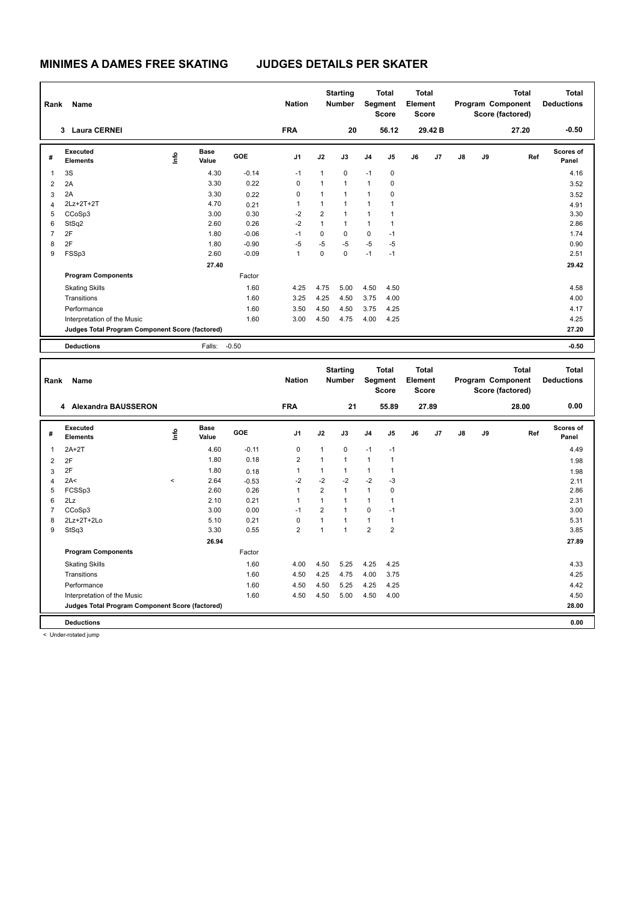| Rank           | Name                                            |      |                      |         | <b>Nation</b>  |                | <b>Starting</b><br><b>Number</b> |                | <b>Total</b><br>Segment<br><b>Score</b> | <b>Total</b><br>Element<br><b>Score</b> |         |               |    | <b>Total</b><br>Program Component<br>Score (factored)        | <b>Total</b><br><b>Deductions</b> |
|----------------|-------------------------------------------------|------|----------------------|---------|----------------|----------------|----------------------------------|----------------|-----------------------------------------|-----------------------------------------|---------|---------------|----|--------------------------------------------------------------|-----------------------------------|
|                | 3 Laura CERNEI                                  |      |                      |         | <b>FRA</b>     |                | 20                               |                | 56.12                                   |                                         | 29.42 B |               |    | 27.20                                                        | $-0.50$                           |
| #              | Executed<br><b>Elements</b>                     | lnfo | <b>Base</b><br>Value | GOE     | J <sub>1</sub> | J2             | J3                               | J <sub>4</sub> | J <sub>5</sub>                          | J6                                      | J7      | $\mathsf{J}8$ | J9 | Ref                                                          | <b>Scores of</b><br>Panel         |
| 1              | 3S                                              |      | 4.30                 | $-0.14$ | $-1$           | 1              | 0                                | $-1$           | 0                                       |                                         |         |               |    |                                                              | 4.16                              |
| 2              | 2A                                              |      | 3.30                 | 0.22    | 0              | $\mathbf{1}$   | $\mathbf{1}$                     | $\mathbf{1}$   | 0                                       |                                         |         |               |    |                                                              | 3.52                              |
| 3              | 2A                                              |      | 3.30                 | 0.22    | 0              | 1              | 1                                | 1              | 0                                       |                                         |         |               |    |                                                              | 3.52                              |
| 4              | 2Lz+2T+2T                                       |      | 4.70                 | 0.21    |                | 1              | 1                                | 1              | 1                                       |                                         |         |               |    |                                                              | 4.91                              |
| 5              | CCoSp3                                          |      | 3.00                 | 0.30    | $-2$           | $\overline{2}$ | $\mathbf{1}$                     | 1              | 1                                       |                                         |         |               |    |                                                              | 3.30                              |
| 6              | StSq2                                           |      | 2.60                 | 0.26    | $-2$           | $\mathbf{1}$   | 1                                | 1              | 1                                       |                                         |         |               |    |                                                              | 2.86                              |
| $\overline{7}$ | 2F                                              |      | 1.80                 | $-0.06$ | $-1$           | 0              | 0                                | $\mathbf 0$    | $-1$                                    |                                         |         |               |    |                                                              | 1.74                              |
| 8              | 2F                                              |      | 1.80                 | $-0.90$ | $-5$           | $-5$           | $-5$                             | $-5$           | $-5$                                    |                                         |         |               |    |                                                              | 0.90                              |
| 9              | FSSp3                                           |      | 2.60                 | $-0.09$ | 1              | 0              | $\mathbf 0$                      | $-1$           | $-1$                                    |                                         |         |               |    |                                                              | 2.51                              |
|                |                                                 |      | 27.40                |         |                |                |                                  |                |                                         |                                         |         |               |    |                                                              | 29.42                             |
|                | <b>Program Components</b>                       |      |                      | Factor  |                |                |                                  |                |                                         |                                         |         |               |    |                                                              |                                   |
|                | <b>Skating Skills</b>                           |      |                      | 1.60    | 4.25           | 4.75           | 5.00                             | 4.50           | 4.50                                    |                                         |         |               |    |                                                              | 4.58                              |
|                | Transitions                                     |      |                      | 1.60    | 3.25           | 4.25           | 4.50                             | 3.75           | 4.00                                    |                                         |         |               |    |                                                              | 4.00                              |
|                | Performance                                     |      |                      | 1.60    | 3.50           | 4.50           | 4.50                             | 3.75           | 4.25                                    |                                         |         |               |    |                                                              | 4.17                              |
|                | Interpretation of the Music                     |      |                      | 1.60    | 3.00           | 4.50           | 4.75                             | 4.00           | 4.25                                    |                                         |         |               |    |                                                              | 4.25                              |
|                | Judges Total Program Component Score (factored) |      |                      |         |                |                |                                  |                |                                         |                                         |         |               |    |                                                              | 27.20                             |
|                | <b>Deductions</b>                               |      | Falls:               | $-0.50$ |                |                |                                  |                |                                         |                                         |         |               |    |                                                              | $-0.50$                           |
|                |                                                 |      |                      |         |                |                |                                  |                |                                         |                                         |         |               |    |                                                              |                                   |
| Rank           | Name                                            |      |                      |         | <b>Nation</b>  |                | <b>Starting</b><br><b>Number</b> |                | <b>Total</b><br>Segment<br><b>Score</b> | <b>Total</b><br>Element<br><b>Score</b> |         |               |    | <b>Total</b><br><b>Program Component</b><br>Score (factored) | <b>Total</b><br><b>Deductions</b> |

| Rank | name                                            |           |                      |         | nation         |                | number         |                | əegment<br><b>Score</b> | Element<br><b>Score</b> |       |               |    | Program Component<br>Score (factored) | <b>Deauctions</b>  |
|------|-------------------------------------------------|-----------|----------------------|---------|----------------|----------------|----------------|----------------|-------------------------|-------------------------|-------|---------------|----|---------------------------------------|--------------------|
|      | 4 Alexandra BAUSSERON                           |           |                      |         | <b>FRA</b>     |                | 21             |                | 55.89                   |                         | 27.89 |               |    | 28.00                                 | 0.00               |
| #    | <b>Executed</b><br><b>Elements</b>              | ١nf٥      | <b>Base</b><br>Value | GOE     | J <sub>1</sub> | J2             | J3             | J <sub>4</sub> | J <sub>5</sub>          | J6                      | J7    | $\mathsf{J}8$ | J9 | Ref                                   | Scores of<br>Panel |
| 1    | $2A+2T$                                         |           | 4.60                 | $-0.11$ | 0              | 1              | $\mathbf 0$    | $-1$           | $-1$                    |                         |       |               |    |                                       | 4.49               |
| 2    | 2F                                              |           | 1.80                 | 0.18    | $\overline{2}$ | $\overline{1}$ | 1              | 1              | 1                       |                         |       |               |    |                                       | 1.98               |
| 3    | 2F                                              |           | 1.80                 | 0.18    |                | 1              |                |                | 1                       |                         |       |               |    |                                       | 1.98               |
| 4    | 2A<                                             | $\hat{~}$ | 2.64                 | $-0.53$ | $-2$           | $-2$           | $-2$           | $-2$           | $-3$                    |                         |       |               |    |                                       | 2.11               |
| 5    | FCSSp3                                          |           | 2.60                 | 0.26    |                | $\overline{2}$ |                | 1              | 0                       |                         |       |               |    |                                       | 2.86               |
| 6    | 2Lz                                             |           | 2.10                 | 0.21    |                | 1              |                |                |                         |                         |       |               |    |                                       | 2.31               |
| 7    | CCoSp3                                          |           | 3.00                 | 0.00    | $-1$           | $\overline{2}$ |                | 0              | $-1$                    |                         |       |               |    |                                       | 3.00               |
| 8    | 2Lz+2T+2Lo                                      |           | 5.10                 | 0.21    | 0              | 1              |                | 1              | 1                       |                         |       |               |    |                                       | 5.31               |
| 9    | StSq3                                           |           | 3.30                 | 0.55    | $\overline{2}$ | $\overline{1}$ | $\overline{1}$ | $\overline{2}$ | $\overline{2}$          |                         |       |               |    |                                       | 3.85               |
|      |                                                 |           | 26.94                |         |                |                |                |                |                         |                         |       |               |    |                                       | 27.89              |
|      | <b>Program Components</b>                       |           |                      | Factor  |                |                |                |                |                         |                         |       |               |    |                                       |                    |
|      | <b>Skating Skills</b>                           |           |                      | 1.60    | 4.00           | 4.50           | 5.25           | 4.25           | 4.25                    |                         |       |               |    |                                       | 4.33               |
|      | Transitions                                     |           |                      | 1.60    | 4.50           | 4.25           | 4.75           | 4.00           | 3.75                    |                         |       |               |    |                                       | 4.25               |
|      | Performance                                     |           |                      | 1.60    | 4.50           | 4.50           | 5.25           | 4.25           | 4.25                    |                         |       |               |    |                                       | 4.42               |
|      | Interpretation of the Music                     |           |                      | 1.60    | 4.50           | 4.50           | 5.00           | 4.50           | 4.00                    |                         |       |               |    |                                       | 4.50               |
|      | Judges Total Program Component Score (factored) |           |                      |         |                |                |                |                |                         |                         |       |               |    |                                       | 28.00              |
|      | <b>Deductions</b>                               |           |                      |         |                |                |                |                |                         |                         |       |               |    |                                       | 0.00               |

< Under-rotated jump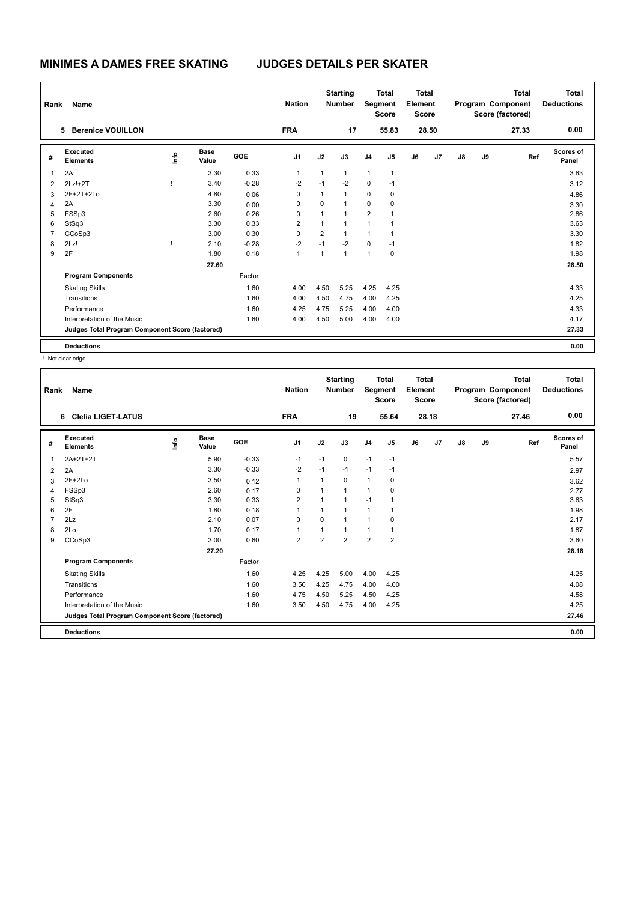| Rank           | Name                                            |      |                      |            | <b>Nation</b>  |                | <b>Starting</b><br><b>Number</b> | Segment        | <b>Total</b><br><b>Score</b> | <b>Total</b><br>Element<br><b>Score</b> |       |    |    | <b>Total</b><br>Program Component<br>Score (factored) | <b>Total</b><br><b>Deductions</b> |
|----------------|-------------------------------------------------|------|----------------------|------------|----------------|----------------|----------------------------------|----------------|------------------------------|-----------------------------------------|-------|----|----|-------------------------------------------------------|-----------------------------------|
|                | <b>Berenice VOUILLON</b><br>5                   |      |                      |            | <b>FRA</b>     |                | 17                               |                | 55.83                        |                                         | 28.50 |    |    | 27.33                                                 | 0.00                              |
| #              | Executed<br><b>Elements</b>                     | ١mfo | <b>Base</b><br>Value | <b>GOE</b> | J <sub>1</sub> | J2             | J3                               | J <sub>4</sub> | J <sub>5</sub>               | J6                                      | J7    | J8 | J9 | Ref                                                   | Scores of<br>Panel                |
| 1              | 2A                                              |      | 3.30                 | 0.33       | $\mathbf{1}$   | 1              | $\mathbf{1}$                     | $\mathbf{1}$   | $\overline{1}$               |                                         |       |    |    |                                                       | 3.63                              |
| $\overline{2}$ | $2Lz!+2T$                                       |      | 3.40                 | $-0.28$    | $-2$           | $-1$           | $-2$                             | $\mathbf 0$    | $-1$                         |                                         |       |    |    |                                                       | 3.12                              |
| 3              | 2F+2T+2Lo                                       |      | 4.80                 | 0.06       | 0              | 1              | $\mathbf{1}$                     | 0              | 0                            |                                         |       |    |    |                                                       | 4.86                              |
| $\overline{4}$ | 2A                                              |      | 3.30                 | 0.00       | 0              | 0              | $\mathbf{1}$                     | 0              | 0                            |                                         |       |    |    |                                                       | 3.30                              |
| 5              | FSSp3                                           |      | 2.60                 | 0.26       | 0              | 1              | $\mathbf{1}$                     | $\overline{2}$ | 1                            |                                         |       |    |    |                                                       | 2.86                              |
| 6              | StSq3                                           |      | 3.30                 | 0.33       | $\overline{2}$ | 1              | $\overline{1}$                   | 1              |                              |                                         |       |    |    |                                                       | 3.63                              |
| $\overline{7}$ | CCoSp3                                          |      | 3.00                 | 0.30       | $\mathbf 0$    | $\overline{2}$ | $\mathbf{1}$                     | $\mathbf{1}$   | $\overline{1}$               |                                         |       |    |    |                                                       | 3.30                              |
| 8              | 2Lz!                                            |      | 2.10                 | $-0.28$    | $-2$           | $-1$           | $-2$                             | $\mathbf 0$    | $-1$                         |                                         |       |    |    |                                                       | 1.82                              |
| 9              | 2F                                              |      | 1.80                 | 0.18       | $\mathbf{1}$   | $\mathbf{1}$   | $\mathbf{1}$                     | $\mathbf{1}$   | 0                            |                                         |       |    |    |                                                       | 1.98                              |
|                |                                                 |      | 27.60                |            |                |                |                                  |                |                              |                                         |       |    |    |                                                       | 28.50                             |
|                | <b>Program Components</b>                       |      |                      | Factor     |                |                |                                  |                |                              |                                         |       |    |    |                                                       |                                   |
|                | <b>Skating Skills</b>                           |      |                      | 1.60       | 4.00           | 4.50           | 5.25                             | 4.25           | 4.25                         |                                         |       |    |    |                                                       | 4.33                              |
|                | Transitions                                     |      |                      | 1.60       | 4.00           | 4.50           | 4.75                             | 4.00           | 4.25                         |                                         |       |    |    |                                                       | 4.25                              |
|                | Performance                                     |      |                      | 1.60       | 4.25           | 4.75           | 5.25                             | 4.00           | 4.00                         |                                         |       |    |    |                                                       | 4.33                              |
|                | Interpretation of the Music                     |      |                      | 1.60       | 4.00           | 4.50           | 5.00                             | 4.00           | 4.00                         |                                         |       |    |    |                                                       | 4.17                              |
|                | Judges Total Program Component Score (factored) |      |                      |            |                |                |                                  |                |                              |                                         |       |    |    |                                                       | 27.33                             |
|                | <b>Deductions</b>                               |      |                      |            |                |                |                                  |                |                              |                                         |       |    |    |                                                       | 0.00                              |

! Not clear edge

| Rank           | Name                                            |    |                      |         | <b>Nation</b>  |                | <b>Starting</b><br><b>Number</b> | Segment        | <b>Total</b><br><b>Score</b> | <b>Total</b><br>Element<br><b>Score</b> |       |               |    | <b>Total</b><br>Program Component<br>Score (factored) | <b>Total</b><br><b>Deductions</b> |
|----------------|-------------------------------------------------|----|----------------------|---------|----------------|----------------|----------------------------------|----------------|------------------------------|-----------------------------------------|-------|---------------|----|-------------------------------------------------------|-----------------------------------|
|                | <b>Clelia LIGET-LATUS</b><br>6                  |    |                      |         | <b>FRA</b>     |                | 19                               |                | 55.64                        |                                         | 28.18 |               |    | 27.46                                                 | 0.00                              |
| #              | Executed<br><b>Elements</b>                     | ۴٥ | <b>Base</b><br>Value | GOE     | J <sub>1</sub> | J2             | J3                               | J <sub>4</sub> | J5                           | J6                                      | J7    | $\mathsf{J}8$ | J9 | Ref                                                   | <b>Scores of</b><br>Panel         |
| 1              | 2A+2T+2T                                        |    | 5.90                 | $-0.33$ | $-1$           | $-1$           | $\mathbf 0$                      | $-1$           | $-1$                         |                                         |       |               |    |                                                       | 5.57                              |
| 2              | 2A                                              |    | 3.30                 | $-0.33$ | $-2$           | $-1$           | $-1$                             | $-1$           | $-1$                         |                                         |       |               |    |                                                       | 2.97                              |
| 3              | $2F+2Lo$                                        |    | 3.50                 | 0.12    | $\mathbf{1}$   | $\mathbf{1}$   | 0                                | $\mathbf{1}$   | 0                            |                                         |       |               |    |                                                       | 3.62                              |
| 4              | FSSp3                                           |    | 2.60                 | 0.17    | 0              | $\mathbf{1}$   | 1                                | $\mathbf{1}$   | 0                            |                                         |       |               |    |                                                       | 2.77                              |
| 5              | StSq3                                           |    | 3.30                 | 0.33    | $\overline{2}$ | 1              | 1                                | $-1$           | 1                            |                                         |       |               |    |                                                       | 3.63                              |
| 6              | 2F                                              |    | 1.80                 | 0.18    | 1              | 1              | $\overline{1}$                   | $\mathbf{1}$   |                              |                                         |       |               |    |                                                       | 1.98                              |
| $\overline{7}$ | 2Lz                                             |    | 2.10                 | 0.07    | $\mathbf 0$    | $\Omega$       | 1                                | $\overline{1}$ | 0                            |                                         |       |               |    |                                                       | 2.17                              |
| 8              | 2Lo                                             |    | 1.70                 | 0.17    | 1              | 1              | 1                                | $\mathbf{1}$   | 1                            |                                         |       |               |    |                                                       | 1.87                              |
| 9              | CCoSp3                                          |    | 3.00                 | 0.60    | $\overline{2}$ | $\overline{2}$ | $\overline{2}$                   | $\overline{2}$ | $\overline{2}$               |                                         |       |               |    |                                                       | 3.60                              |
|                |                                                 |    | 27.20                |         |                |                |                                  |                |                              |                                         |       |               |    |                                                       | 28.18                             |
|                | <b>Program Components</b>                       |    |                      | Factor  |                |                |                                  |                |                              |                                         |       |               |    |                                                       |                                   |
|                | <b>Skating Skills</b>                           |    |                      | 1.60    | 4.25           | 4.25           | 5.00                             | 4.00           | 4.25                         |                                         |       |               |    |                                                       | 4.25                              |
|                | Transitions                                     |    |                      | 1.60    | 3.50           | 4.25           | 4.75                             | 4.00           | 4.00                         |                                         |       |               |    |                                                       | 4.08                              |
|                | Performance                                     |    |                      | 1.60    | 4.75           | 4.50           | 5.25                             | 4.50           | 4.25                         |                                         |       |               |    |                                                       | 4.58                              |
|                | Interpretation of the Music                     |    |                      | 1.60    | 3.50           | 4.50           | 4.75                             | 4.00           | 4.25                         |                                         |       |               |    |                                                       | 4.25                              |
|                | Judges Total Program Component Score (factored) |    |                      |         |                |                |                                  |                |                              |                                         |       |               |    |                                                       | 27.46                             |
|                | <b>Deductions</b>                               |    |                      |         |                |                |                                  |                |                              |                                         |       |               |    |                                                       | 0.00                              |
|                |                                                 |    |                      |         |                |                |                                  |                |                              |                                         |       |               |    |                                                       |                                   |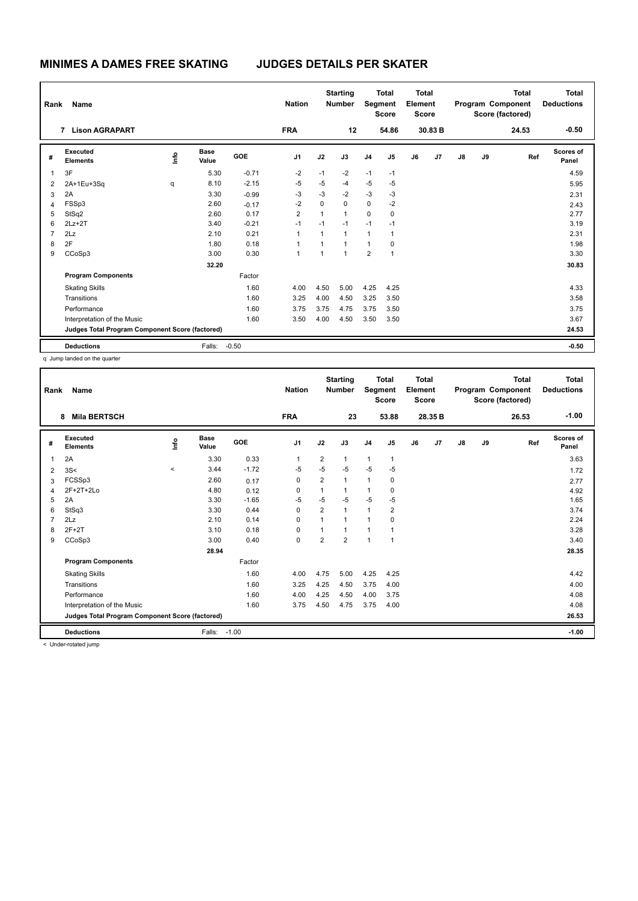| Rank           | Name                                            |                                  |                      |            | <b>Nation</b>  |                | <b>Starting</b><br><b>Number</b> | Segment        | <b>Total</b><br><b>Score</b> | <b>Total</b><br>Element<br><b>Score</b> |         |    |    | <b>Total</b><br>Program Component<br>Score (factored) | <b>Total</b><br><b>Deductions</b> |
|----------------|-------------------------------------------------|----------------------------------|----------------------|------------|----------------|----------------|----------------------------------|----------------|------------------------------|-----------------------------------------|---------|----|----|-------------------------------------------------------|-----------------------------------|
|                | 7 Lison AGRAPART                                |                                  |                      |            | <b>FRA</b>     |                | 12                               |                | 54.86                        |                                         | 30.83 B |    |    | 24.53                                                 | $-0.50$                           |
| #              | Executed<br><b>Elements</b>                     | $\mathop{\mathsf{Irr}}\nolimits$ | <b>Base</b><br>Value | <b>GOE</b> | J <sub>1</sub> | J2             | J3                               | J <sub>4</sub> | J <sub>5</sub>               | J6                                      | J7      | J8 | J9 | Ref                                                   | Scores of<br>Panel                |
| $\overline{1}$ | 3F                                              |                                  | 5.30                 | $-0.71$    | $-2$           | $-1$           | $-2$                             | $-1$           | $-1$                         |                                         |         |    |    |                                                       | 4.59                              |
| 2              | 2A+1Eu+3Sq                                      | q                                | 8.10                 | $-2.15$    | $-5$           | $-5$           | $-4$                             | $-5$           | $-5$                         |                                         |         |    |    |                                                       | 5.95                              |
| 3              | 2A                                              |                                  | 3.30                 | $-0.99$    | $-3$           | $-3$           | $-2$                             | $-3$           | $-3$                         |                                         |         |    |    |                                                       | 2.31                              |
| 4              | FSSp3                                           |                                  | 2.60                 | $-0.17$    | $-2$           | 0              | 0                                | $\mathbf 0$    | $-2$                         |                                         |         |    |    |                                                       | 2.43                              |
| 5              | StSq2                                           |                                  | 2.60                 | 0.17       | $\overline{2}$ | $\overline{1}$ | $\mathbf{1}$                     | $\Omega$       | 0                            |                                         |         |    |    |                                                       | 2.77                              |
| 6              | $2Lz+2T$                                        |                                  | 3.40                 | $-0.21$    | $-1$           | $-1$           | $-1$                             | $-1$           | $-1$                         |                                         |         |    |    |                                                       | 3.19                              |
| $\overline{7}$ | 2Lz                                             |                                  | 2.10                 | 0.21       | $\mathbf{1}$   | 1              | $\mathbf{1}$                     | $\mathbf{1}$   | $\overline{1}$               |                                         |         |    |    |                                                       | 2.31                              |
| 8              | 2F                                              |                                  | 1.80                 | 0.18       | 1              | 1              | $\overline{1}$                   | $\mathbf{1}$   | 0                            |                                         |         |    |    |                                                       | 1.98                              |
| 9              | CCoSp3                                          |                                  | 3.00                 | 0.30       | 1              | 4              | $\overline{ }$                   | $\overline{2}$ | $\overline{1}$               |                                         |         |    |    |                                                       | 3.30                              |
|                |                                                 |                                  | 32.20                |            |                |                |                                  |                |                              |                                         |         |    |    |                                                       | 30.83                             |
|                | <b>Program Components</b>                       |                                  |                      | Factor     |                |                |                                  |                |                              |                                         |         |    |    |                                                       |                                   |
|                | <b>Skating Skills</b>                           |                                  |                      | 1.60       | 4.00           | 4.50           | 5.00                             | 4.25           | 4.25                         |                                         |         |    |    |                                                       | 4.33                              |
|                | Transitions                                     |                                  |                      | 1.60       | 3.25           | 4.00           | 4.50                             | 3.25           | 3.50                         |                                         |         |    |    |                                                       | 3.58                              |
|                | Performance                                     |                                  |                      | 1.60       | 3.75           | 3.75           | 4.75                             | 3.75           | 3.50                         |                                         |         |    |    |                                                       | 3.75                              |
|                | Interpretation of the Music                     |                                  |                      | 1.60       | 3.50           | 4.00           | 4.50                             | 3.50           | 3.50                         |                                         |         |    |    |                                                       | 3.67                              |
|                | Judges Total Program Component Score (factored) |                                  |                      |            |                |                |                                  |                |                              |                                         |         |    |    |                                                       | 24.53                             |
|                | <b>Deductions</b>                               |                                  | Falls:               | $-0.50$    |                |                |                                  |                |                              |                                         |         |    |    |                                                       | $-0.50$                           |

q Jump landed on the quarter

| Rank | Name                                            |         |                      |         | <b>Nation</b>  |                | <b>Starting</b><br><b>Number</b> | Segment        | <b>Total</b><br><b>Score</b> | <b>Total</b><br>Element<br><b>Score</b> |         |               |    | <b>Total</b><br>Program Component<br>Score (factored) | <b>Total</b><br><b>Deductions</b> |
|------|-------------------------------------------------|---------|----------------------|---------|----------------|----------------|----------------------------------|----------------|------------------------------|-----------------------------------------|---------|---------------|----|-------------------------------------------------------|-----------------------------------|
|      | <b>Mila BERTSCH</b><br>8                        |         |                      |         | <b>FRA</b>     |                | 23                               |                | 53.88                        |                                         | 28.35 B |               |    | 26.53                                                 | $-1.00$                           |
| #    | Executed<br><b>Elements</b>                     | ۴٥      | <b>Base</b><br>Value | GOE     | J <sub>1</sub> | J2             | J3                               | J <sub>4</sub> | J5                           | J6                                      | J7      | $\mathsf{J}8$ | J9 | Ref                                                   | Scores of<br>Panel                |
| 1    | 2A                                              |         | 3.30                 | 0.33    | 1              | $\overline{2}$ | $\mathbf 1$                      | $\mathbf{1}$   | 1                            |                                         |         |               |    |                                                       | 3.63                              |
| 2    | 3S<                                             | $\prec$ | 3.44                 | $-1.72$ | $-5$           | $-5$           | $-5$                             | -5             | $-5$                         |                                         |         |               |    |                                                       | 1.72                              |
| 3    | FCSSp3                                          |         | 2.60                 | 0.17    | 0              | $\overline{2}$ | 1                                | $\mathbf{1}$   | 0                            |                                         |         |               |    |                                                       | 2.77                              |
| 4    | 2F+2T+2Lo                                       |         | 4.80                 | 0.12    | 0              | 1              | $\mathbf 1$                      | 1              | 0                            |                                         |         |               |    |                                                       | 4.92                              |
| 5    | 2A                                              |         | 3.30                 | $-1.65$ | $-5$           | $-5$           | $-5$                             | $-5$           | $-5$                         |                                         |         |               |    |                                                       | 1.65                              |
| 6    | StSq3                                           |         | 3.30                 | 0.44    | $\Omega$       | $\overline{2}$ | 1                                | $\mathbf{1}$   | $\overline{2}$               |                                         |         |               |    |                                                       | 3.74                              |
|      | 2Lz                                             |         | 2.10                 | 0.14    | $\Omega$       | 1              | 1                                | $\mathbf{1}$   | 0                            |                                         |         |               |    |                                                       | 2.24                              |
| 8    | $2F+2T$                                         |         | 3.10                 | 0.18    | 0              | 1              |                                  | $\mathbf{1}$   |                              |                                         |         |               |    |                                                       | 3.28                              |
| 9    | CCoSp3                                          |         | 3.00                 | 0.40    | $\mathbf 0$    | $\overline{2}$ | $\overline{2}$                   | $\mathbf{1}$   | 1                            |                                         |         |               |    |                                                       | 3.40                              |
|      |                                                 |         | 28.94                |         |                |                |                                  |                |                              |                                         |         |               |    |                                                       | 28.35                             |
|      | <b>Program Components</b>                       |         |                      | Factor  |                |                |                                  |                |                              |                                         |         |               |    |                                                       |                                   |
|      | <b>Skating Skills</b>                           |         |                      | 1.60    | 4.00           | 4.75           | 5.00                             | 4.25           | 4.25                         |                                         |         |               |    |                                                       | 4.42                              |
|      | Transitions                                     |         |                      | 1.60    | 3.25           | 4.25           | 4.50                             | 3.75           | 4.00                         |                                         |         |               |    |                                                       | 4.00                              |
|      | Performance                                     |         |                      | 1.60    | 4.00           | 4.25           | 4.50                             | 4.00           | 3.75                         |                                         |         |               |    |                                                       | 4.08                              |
|      | Interpretation of the Music                     |         |                      | 1.60    | 3.75           | 4.50           | 4.75                             | 3.75           | 4.00                         |                                         |         |               |    |                                                       | 4.08                              |
|      | Judges Total Program Component Score (factored) |         |                      |         |                |                |                                  |                |                              |                                         |         |               |    |                                                       | 26.53                             |
|      | <b>Deductions</b>                               |         | Falls:               | $-1.00$ |                |                |                                  |                |                              |                                         |         |               |    |                                                       | $-1.00$                           |

< Under-rotated jump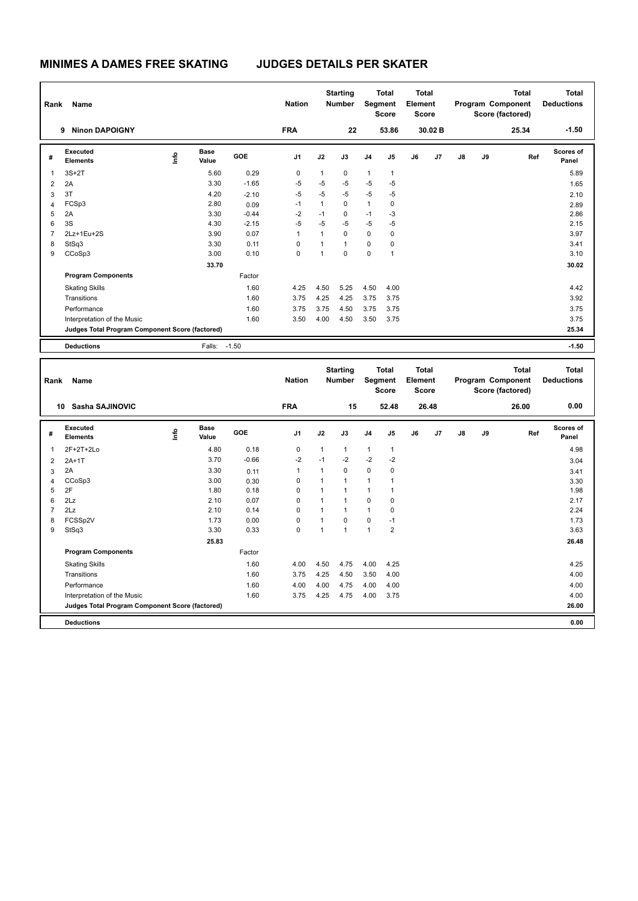| Rank           | Name                                            |      |                      |         | <b>Nation</b>  |                | <b>Starting</b><br><b>Number</b> |                | <b>Total</b><br><b>Segment</b><br><b>Score</b> | <b>Total</b><br>Element<br><b>Score</b> |         |    |    | <b>Total</b><br>Program Component<br>Score (factored) | <b>Total</b><br><b>Deductions</b> |
|----------------|-------------------------------------------------|------|----------------------|---------|----------------|----------------|----------------------------------|----------------|------------------------------------------------|-----------------------------------------|---------|----|----|-------------------------------------------------------|-----------------------------------|
|                | <b>Ninon DAPOIGNY</b><br>9                      |      |                      |         | <b>FRA</b>     |                | 22                               |                | 53.86                                          |                                         | 30.02 B |    |    | 25.34                                                 | $-1.50$                           |
| #              | <b>Executed</b><br><b>Elements</b>              | lnfo | <b>Base</b><br>Value | GOE     | J <sub>1</sub> | J2             | J3                               | J <sub>4</sub> | J <sub>5</sub>                                 | J6                                      | J7      | J8 | J9 | Ref                                                   | <b>Scores of</b><br>Panel         |
| 1              | $3S+2T$                                         |      | 5.60                 | 0.29    | 0              | 1              | 0                                | $\mathbf{1}$   | $\mathbf{1}$                                   |                                         |         |    |    |                                                       | 5.89                              |
| $\overline{2}$ | 2A                                              |      | 3.30                 | $-1.65$ | $-5$           | $-5$           | $-5$                             | $-5$           | $-5$                                           |                                         |         |    |    |                                                       | 1.65                              |
| 3              | 3T                                              |      | 4.20                 | $-2.10$ | $-5$           | $-5$           | $-5$                             | $-5$           | $-5$                                           |                                         |         |    |    |                                                       | 2.10                              |
| $\overline{4}$ | FCSp3                                           |      | 2.80                 | 0.09    | $-1$           | $\mathbf{1}$   | $\mathbf 0$                      | $\mathbf{1}$   | 0                                              |                                         |         |    |    |                                                       | 2.89                              |
| 5              | 2A                                              |      | 3.30                 | $-0.44$ | $-2$           | $-1$           | 0                                | $-1$           | $-3$                                           |                                         |         |    |    |                                                       | 2.86                              |
| 6              | 3S                                              |      | 4.30                 | $-2.15$ | $-5$           | $-5$           | $-5$                             | $-5$           | $-5$                                           |                                         |         |    |    |                                                       | 2.15                              |
| $\overline{7}$ | 2Lz+1Eu+2S                                      |      | 3.90                 | 0.07    | 1              | $\mathbf{1}$   | $\Omega$                         | $\Omega$       | $\mathbf 0$                                    |                                         |         |    |    |                                                       | 3.97                              |
| 8              | StSq3                                           |      | 3.30                 | 0.11    | 0              | 1              | $\mathbf{1}$                     | 0              | 0                                              |                                         |         |    |    |                                                       | 3.41                              |
| 9              | CCoSp3                                          |      | 3.00                 | 0.10    | 0              | $\overline{1}$ | $\mathbf 0$                      | $\mathbf 0$    | 1                                              |                                         |         |    |    |                                                       | 3.10                              |
|                |                                                 |      | 33.70                |         |                |                |                                  |                |                                                |                                         |         |    |    |                                                       | 30.02                             |
|                | <b>Program Components</b>                       |      |                      | Factor  |                |                |                                  |                |                                                |                                         |         |    |    |                                                       |                                   |
|                | <b>Skating Skills</b>                           |      |                      | 1.60    | 4.25           | 4.50           | 5.25                             | 4.50           | 4.00                                           |                                         |         |    |    |                                                       | 4.42                              |
|                | Transitions                                     |      |                      | 1.60    | 3.75           | 4.25           | 4.25                             | 3.75           | 3.75                                           |                                         |         |    |    |                                                       | 3.92                              |
|                | Performance                                     |      |                      | 1.60    | 3.75           | 3.75           | 4.50                             | 3.75           | 3.75                                           |                                         |         |    |    |                                                       | 3.75                              |
|                | Interpretation of the Music                     |      |                      | 1.60    | 3.50           | 4.00           | 4.50                             | 3.50           | 3.75                                           |                                         |         |    |    |                                                       | 3.75                              |
|                | Judges Total Program Component Score (factored) |      |                      |         |                |                |                                  |                |                                                |                                         |         |    |    |                                                       | 25.34                             |
|                | <b>Deductions</b>                               |      | Falls: -1.50         |         |                |                |                                  |                |                                                |                                         |         |    |    |                                                       | $-1.50$                           |
|                |                                                 |      |                      |         |                |                |                                  |                |                                                |                                         |         |    |    |                                                       |                                   |
| Rank           | Name                                            |      |                      |         | <b>Nation</b>  |                | <b>Starting</b><br><b>Number</b> |                | <b>Total</b><br><b>Segment</b><br><b>Score</b> | Total<br>Element<br>Score               |         |    |    | <b>Total</b><br>Program Component<br>Score (factored) | <b>Total</b><br><b>Deductions</b> |

|                | <b>Sasha SAJINOVIC</b><br>10                    |      |                      |            | <b>FRA</b>     |              | 15             |                | 52.48          |    | 26.48 |               |    | 26.00 | 0.00                      |
|----------------|-------------------------------------------------|------|----------------------|------------|----------------|--------------|----------------|----------------|----------------|----|-------|---------------|----|-------|---------------------------|
| #              | Executed<br><b>Elements</b>                     | lnfo | <b>Base</b><br>Value | <b>GOE</b> | J <sub>1</sub> | J2           | J3             | J <sub>4</sub> | J5             | J6 | J7    | $\mathsf{J}8$ | J9 | Ref   | <b>Scores of</b><br>Panel |
| 1              | 2F+2T+2Lo                                       |      | 4.80                 | 0.18       | $\mathbf 0$    | 1            | $\mathbf{1}$   | $\mathbf{1}$   | $\overline{1}$ |    |       |               |    |       | 4.98                      |
| 2              | $2A+1T$                                         |      | 3.70                 | $-0.66$    | $-2$           | $-1$         | $-2$           | $-2$           | $-2$           |    |       |               |    |       | 3.04                      |
| 3              | 2A                                              |      | 3.30                 | 0.11       | $\overline{1}$ | $\mathbf{1}$ | $\mathbf 0$    | $\mathbf 0$    | 0              |    |       |               |    |       | 3.41                      |
| 4              | CCoSp3                                          |      | 3.00                 | 0.30       | 0              |              | $\overline{1}$ | $\mathbf{1}$   | и              |    |       |               |    |       | 3.30                      |
| 5              | 2F                                              |      | 1.80                 | 0.18       | $\mathbf 0$    |              | $\overline{1}$ | 1              |                |    |       |               |    |       | 1.98                      |
| 6              | 2Lz                                             |      | 2.10                 | 0.07       | 0              |              | $\mathbf{1}$   | 0              | 0              |    |       |               |    |       | 2.17                      |
| $\overline{7}$ | 2Lz                                             |      | 2.10                 | 0.14       | 0              | 1            | $\mathbf{1}$   | $\mathbf{1}$   | 0              |    |       |               |    |       | 2.24                      |
| 8              | FCSSp2V                                         |      | 1.73                 | 0.00       | $\mathbf 0$    |              | $\Omega$       | $\Omega$       | $-1$           |    |       |               |    |       | 1.73                      |
| 9              | StSq3                                           |      | 3.30                 | 0.33       | 0              | 1            | $\overline{1}$ | $\mathbf{1}$   | $\overline{2}$ |    |       |               |    |       | 3.63                      |
|                |                                                 |      | 25.83                |            |                |              |                |                |                |    |       |               |    |       | 26.48                     |
|                | <b>Program Components</b>                       |      |                      | Factor     |                |              |                |                |                |    |       |               |    |       |                           |
|                | <b>Skating Skills</b>                           |      |                      | 1.60       | 4.00           | 4.50         | 4.75           | 4.00           | 4.25           |    |       |               |    |       | 4.25                      |
|                | Transitions                                     |      |                      | 1.60       | 3.75           | 4.25         | 4.50           | 3.50           | 4.00           |    |       |               |    |       | 4.00                      |
|                | Performance                                     |      |                      | 1.60       | 4.00           | 4.00         | 4.75           | 4.00           | 4.00           |    |       |               |    |       | 4.00                      |
|                | Interpretation of the Music                     |      |                      | 1.60       | 3.75           | 4.25         | 4.75           | 4.00           | 3.75           |    |       |               |    |       | 4.00                      |
|                | Judges Total Program Component Score (factored) |      |                      |            |                |              |                |                |                |    |       |               |    |       | 26.00                     |
|                | <b>Deductions</b>                               |      |                      |            |                |              |                |                |                |    |       |               |    |       | 0.00                      |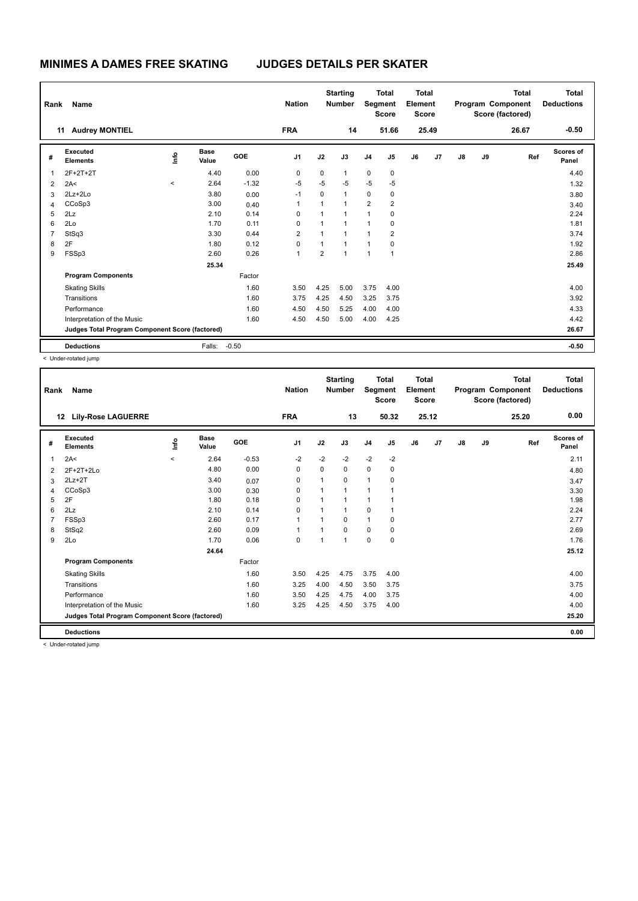| Rank           | Name                                            |                          |                      |         | <b>Nation</b>  |                | <b>Starting</b><br><b>Number</b> |                | <b>Total</b><br>Segment<br><b>Score</b> | <b>Total</b><br>Element<br><b>Score</b> |       |    |    | <b>Total</b><br>Program Component<br>Score (factored) | <b>Total</b><br><b>Deductions</b> |
|----------------|-------------------------------------------------|--------------------------|----------------------|---------|----------------|----------------|----------------------------------|----------------|-----------------------------------------|-----------------------------------------|-------|----|----|-------------------------------------------------------|-----------------------------------|
| 11             | <b>Audrey MONTIEL</b>                           |                          |                      |         | <b>FRA</b>     |                | 14                               |                | 51.66                                   |                                         | 25.49 |    |    | 26.67                                                 | $-0.50$                           |
| #              | Executed<br><b>Elements</b>                     | lnfo                     | <b>Base</b><br>Value | GOE     | J <sub>1</sub> | J2             | J3                               | J <sub>4</sub> | J <sub>5</sub>                          | J6                                      | J7    | J8 | J9 | Ref                                                   | Scores of<br>Panel                |
| 1              | 2F+2T+2T                                        |                          | 4.40                 | 0.00    | 0              | 0              | $\mathbf{1}$                     | $\pmb{0}$      | 0                                       |                                         |       |    |    |                                                       | 4.40                              |
| 2              | 2A<                                             | $\overline{\phantom{a}}$ | 2.64                 | $-1.32$ | $-5$           | $-5$           | $-5$                             | $-5$           | $-5$                                    |                                         |       |    |    |                                                       | 1.32                              |
| 3              | 2Lz+2Lo                                         |                          | 3.80                 | 0.00    | $-1$           | $\Omega$       | $\mathbf{1}$                     | 0              | 0                                       |                                         |       |    |    |                                                       | 3.80                              |
| 4              | CCoSp3                                          |                          | 3.00                 | 0.40    | 1              | $\mathbf{1}$   |                                  | $\overline{2}$ | $\overline{2}$                          |                                         |       |    |    |                                                       | 3.40                              |
| 5              | 2Lz                                             |                          | 2.10                 | 0.14    | 0              | 1              |                                  | $\overline{1}$ | 0                                       |                                         |       |    |    |                                                       | 2.24                              |
| 6              | 2Lo                                             |                          | 1.70                 | 0.11    | 0              | 1              |                                  | 1              | 0                                       |                                         |       |    |    |                                                       | 1.81                              |
| $\overline{7}$ | StSq3                                           |                          | 3.30                 | 0.44    | $\overline{2}$ | $\mathbf{1}$   | $\overline{1}$                   | 1              | $\overline{2}$                          |                                         |       |    |    |                                                       | 3.74                              |
| 8              | 2F                                              |                          | 1.80                 | 0.12    | 0              | 1              | 1                                | 1              | 0                                       |                                         |       |    |    |                                                       | 1.92                              |
| 9              | FSSp3                                           |                          | 2.60                 | 0.26    | 1              | $\overline{2}$ | $\overline{1}$                   | $\overline{ }$ | 1                                       |                                         |       |    |    |                                                       | 2.86                              |
|                |                                                 |                          | 25.34                |         |                |                |                                  |                |                                         |                                         |       |    |    |                                                       | 25.49                             |
|                | <b>Program Components</b>                       |                          |                      | Factor  |                |                |                                  |                |                                         |                                         |       |    |    |                                                       |                                   |
|                | <b>Skating Skills</b>                           |                          |                      | 1.60    | 3.50           | 4.25           | 5.00                             | 3.75           | 4.00                                    |                                         |       |    |    |                                                       | 4.00                              |
|                | Transitions                                     |                          |                      | 1.60    | 3.75           | 4.25           | 4.50                             | 3.25           | 3.75                                    |                                         |       |    |    |                                                       | 3.92                              |
|                | Performance                                     |                          |                      | 1.60    | 4.50           | 4.50           | 5.25                             | 4.00           | 4.00                                    |                                         |       |    |    |                                                       | 4.33                              |
|                | Interpretation of the Music                     |                          |                      | 1.60    | 4.50           | 4.50           | 5.00                             | 4.00           | 4.25                                    |                                         |       |    |    |                                                       | 4.42                              |
|                | Judges Total Program Component Score (factored) |                          |                      |         |                |                |                                  |                |                                         |                                         |       |    |    |                                                       | 26.67                             |
|                | <b>Deductions</b>                               |                          | Falls:               | $-0.50$ |                |                |                                  |                |                                         |                                         |       |    |    |                                                       | $-0.50$                           |

< Under-rotated jump

| Rank | Name                                            |         |                      |            | <b>Nation</b>  |              | <b>Starting</b><br><b>Number</b> |                | <b>Total</b><br>Segment<br><b>Score</b> | <b>Total</b><br>Element<br><b>Score</b> |       |               |    | Total<br>Program Component<br>Score (factored) | <b>Total</b><br><b>Deductions</b> |
|------|-------------------------------------------------|---------|----------------------|------------|----------------|--------------|----------------------------------|----------------|-----------------------------------------|-----------------------------------------|-------|---------------|----|------------------------------------------------|-----------------------------------|
|      | <b>Lily-Rose LAGUERRE</b><br>12 <sup>12</sup>   |         |                      |            | <b>FRA</b>     |              | 13                               |                | 50.32                                   |                                         | 25.12 |               |    | 25.20                                          | 0.00                              |
| #    | Executed<br><b>Elements</b>                     | ١ifo    | <b>Base</b><br>Value | <b>GOE</b> | J <sub>1</sub> | J2           | J3                               | J <sub>4</sub> | J <sub>5</sub>                          | J6                                      | J7    | $\mathsf{J}8$ | J9 | Ref                                            | Scores of<br>Panel                |
|      | 2A<                                             | $\,<\,$ | 2.64                 | $-0.53$    | $-2$           | $-2$         | $-2$                             | $-2$           | $-2$                                    |                                         |       |               |    |                                                | 2.11                              |
| 2    | $2F+2T+2Lo$                                     |         | 4.80                 | 0.00       | $\Omega$       | $\Omega$     | $\Omega$                         | $\mathbf 0$    | 0                                       |                                         |       |               |    |                                                | 4.80                              |
| 3    | $2Lz + 2T$                                      |         | 3.40                 | 0.07       | 0              | 1            | $\Omega$                         | $\mathbf{1}$   | 0                                       |                                         |       |               |    |                                                | 3.47                              |
|      | CCoSp3                                          |         | 3.00                 | 0.30       | 0              | $\mathbf{1}$ | $\overline{1}$                   | $\mathbf{1}$   | 1                                       |                                         |       |               |    |                                                | 3.30                              |
| 5    | 2F                                              |         | 1.80                 | 0.18       | 0              | $\mathbf{1}$ | 1                                | $\mathbf{1}$   | 1                                       |                                         |       |               |    |                                                | 1.98                              |
| 6    | 2Lz                                             |         | 2.10                 | 0.14       | $\Omega$       | 1            | $\overline{1}$                   | $\mathbf 0$    | 1                                       |                                         |       |               |    |                                                | 2.24                              |
|      | FSSp3                                           |         | 2.60                 | 0.17       | 1              | 1            | $\Omega$                         | $\mathbf{1}$   | 0                                       |                                         |       |               |    |                                                | 2.77                              |
| 8    | StSq2                                           |         | 2.60                 | 0.09       | $\overline{1}$ | 1            | $\Omega$                         | $\mathbf 0$    | 0                                       |                                         |       |               |    |                                                | 2.69                              |
| 9    | 2Lo                                             |         | 1.70                 | 0.06       | 0              | 1            | $\overline{1}$                   | $\mathbf 0$    | $\mathbf 0$                             |                                         |       |               |    |                                                | 1.76                              |
|      |                                                 |         | 24.64                |            |                |              |                                  |                |                                         |                                         |       |               |    |                                                | 25.12                             |
|      | <b>Program Components</b>                       |         |                      | Factor     |                |              |                                  |                |                                         |                                         |       |               |    |                                                |                                   |
|      | <b>Skating Skills</b>                           |         |                      | 1.60       | 3.50           | 4.25         | 4.75                             | 3.75           | 4.00                                    |                                         |       |               |    |                                                | 4.00                              |
|      | Transitions                                     |         |                      | 1.60       | 3.25           | 4.00         | 4.50                             | 3.50           | 3.75                                    |                                         |       |               |    |                                                | 3.75                              |
|      | Performance                                     |         |                      | 1.60       | 3.50           | 4.25         | 4.75                             | 4.00           | 3.75                                    |                                         |       |               |    |                                                | 4.00                              |
|      | Interpretation of the Music                     |         |                      | 1.60       | 3.25           | 4.25         | 4.50                             | 3.75           | 4.00                                    |                                         |       |               |    |                                                | 4.00                              |
|      | Judges Total Program Component Score (factored) |         |                      |            |                |              |                                  |                |                                         |                                         |       |               |    |                                                | 25.20                             |
|      | <b>Deductions</b>                               |         |                      |            |                |              |                                  |                |                                         |                                         |       |               |    |                                                | 0.00                              |
|      |                                                 |         |                      |            |                |              |                                  |                |                                         |                                         |       |               |    |                                                |                                   |

< Under-rotated jump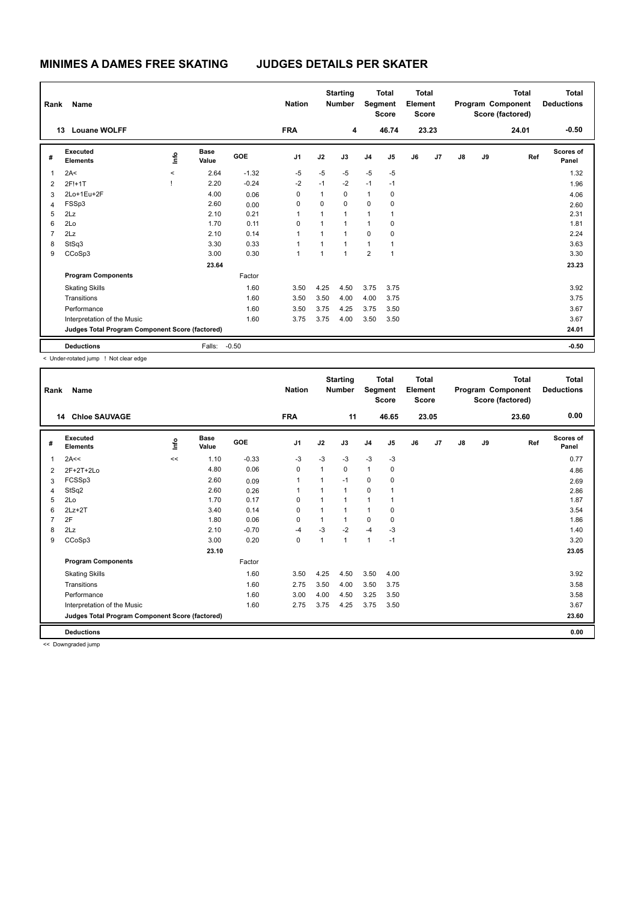| Rank           | Name                                            |         |                      |         | <b>Nation</b>  |                | <b>Starting</b><br><b>Number</b> | Segment        | <b>Total</b><br><b>Score</b> | <b>Total</b><br>Element<br><b>Score</b> |       |               |    | <b>Total</b><br>Program Component<br>Score (factored) | <b>Total</b><br><b>Deductions</b> |
|----------------|-------------------------------------------------|---------|----------------------|---------|----------------|----------------|----------------------------------|----------------|------------------------------|-----------------------------------------|-------|---------------|----|-------------------------------------------------------|-----------------------------------|
|                | 13<br><b>Louane WOLFF</b>                       |         |                      |         | <b>FRA</b>     |                | 4                                |                | 46.74                        |                                         | 23.23 |               |    | 24.01                                                 | $-0.50$                           |
| #              | Executed<br><b>Elements</b>                     | lnfo    | <b>Base</b><br>Value | GOE     | J <sub>1</sub> | J2             | J3                               | J <sub>4</sub> | J5                           | J6                                      | J7    | $\mathsf{J}8$ | J9 | Ref                                                   | Scores of<br>Panel                |
| 1              | 2A<                                             | $\,<\,$ | 2.64                 | $-1.32$ | $-5$           | $-5$           | $-5$                             | $-5$           | $-5$                         |                                         |       |               |    |                                                       | 1.32                              |
| 2              | 2F!+1T                                          |         | 2.20                 | $-0.24$ | $-2$           | $-1$           | $-2$                             | $-1$           | $-1$                         |                                         |       |               |    |                                                       | 1.96                              |
| 3              | 2Lo+1Eu+2F                                      |         | 4.00                 | 0.06    | 0              | 1              | 0                                | $\mathbf{1}$   | 0                            |                                         |       |               |    |                                                       | 4.06                              |
| $\overline{4}$ | FSSp3                                           |         | 2.60                 | 0.00    | 0              | $\Omega$       | $\Omega$                         | $\Omega$       | 0                            |                                         |       |               |    |                                                       | 2.60                              |
| 5              | 2Lz                                             |         | 2.10                 | 0.21    | 1              | 1              | 1                                | $\mathbf{1}$   | 1                            |                                         |       |               |    |                                                       | 2.31                              |
| 6              | 2Lo                                             |         | 1.70                 | 0.11    | 0              | $\mathbf{1}$   |                                  | $\mathbf{1}$   | 0                            |                                         |       |               |    |                                                       | 1.81                              |
| $\overline{7}$ | 2Lz                                             |         | 2.10                 | 0.14    | 1              | $\mathbf{1}$   | $\overline{1}$                   | $\mathbf 0$    | 0                            |                                         |       |               |    |                                                       | 2.24                              |
| 8              | StSq3                                           |         | 3.30                 | 0.33    | 1              | $\overline{1}$ |                                  | $\mathbf{1}$   | 1                            |                                         |       |               |    |                                                       | 3.63                              |
| 9              | CCoSp3                                          |         | 3.00                 | 0.30    | 1              | $\mathbf{1}$   | $\overline{ }$                   | $\overline{2}$ | 1                            |                                         |       |               |    |                                                       | 3.30                              |
|                |                                                 |         | 23.64                |         |                |                |                                  |                |                              |                                         |       |               |    |                                                       | 23.23                             |
|                | <b>Program Components</b>                       |         |                      | Factor  |                |                |                                  |                |                              |                                         |       |               |    |                                                       |                                   |
|                | <b>Skating Skills</b>                           |         |                      | 1.60    | 3.50           | 4.25           | 4.50                             | 3.75           | 3.75                         |                                         |       |               |    |                                                       | 3.92                              |
|                | Transitions                                     |         |                      | 1.60    | 3.50           | 3.50           | 4.00                             | 4.00           | 3.75                         |                                         |       |               |    |                                                       | 3.75                              |
|                | Performance                                     |         |                      | 1.60    | 3.50           | 3.75           | 4.25                             | 3.75           | 3.50                         |                                         |       |               |    |                                                       | 3.67                              |
|                | Interpretation of the Music                     |         |                      | 1.60    | 3.75           | 3.75           | 4.00                             | 3.50           | 3.50                         |                                         |       |               |    |                                                       | 3.67                              |
|                | Judges Total Program Component Score (factored) |         |                      |         |                |                |                                  |                |                              |                                         |       |               |    |                                                       | 24.01                             |
|                | <b>Deductions</b>                               |         | Falls:               | $-0.50$ |                |                |                                  |                |                              |                                         |       |               |    |                                                       | $-0.50$                           |

< Under-rotated jump ! Not clear edge

| Rank           | Name                                            |      |                      |            | <b>Nation</b>  |              | <b>Starting</b><br><b>Number</b> | Segment        | <b>Total</b><br><b>Score</b> | Total<br>Element<br><b>Score</b> |       |               |    | <b>Total</b><br>Program Component<br>Score (factored) | Total<br><b>Deductions</b> |
|----------------|-------------------------------------------------|------|----------------------|------------|----------------|--------------|----------------------------------|----------------|------------------------------|----------------------------------|-------|---------------|----|-------------------------------------------------------|----------------------------|
|                | <b>Chloe SAUVAGE</b><br>14                      |      |                      |            | <b>FRA</b>     |              | 11                               |                | 46.65                        |                                  | 23.05 |               |    | 23.60                                                 | 0.00                       |
| #              | Executed<br><b>Elements</b>                     | ١ifo | <b>Base</b><br>Value | <b>GOE</b> | J <sub>1</sub> | J2           | J3                               | J <sub>4</sub> | J5                           | J6                               | J7    | $\mathsf{J}8$ | J9 | Ref                                                   | <b>Scores of</b><br>Panel  |
| 1              | 2A<<                                            | <<   | 1.10                 | $-0.33$    | $-3$           | $-3$         | $-3$                             | $-3$           | $-3$                         |                                  |       |               |    |                                                       | 0.77                       |
| 2              | $2F+2T+2Lo$                                     |      | 4.80                 | 0.06       | 0              | 1            | 0                                | $\mathbf{1}$   | 0                            |                                  |       |               |    |                                                       | 4.86                       |
| 3              | FCSSp3                                          |      | 2.60                 | 0.09       | $\mathbf{1}$   | $\mathbf{1}$ | $-1$                             | 0              | 0                            |                                  |       |               |    |                                                       | 2.69                       |
| 4              | StSq2                                           |      | 2.60                 | 0.26       | 1              | 1            | 1                                | $\mathbf 0$    | 1                            |                                  |       |               |    |                                                       | 2.86                       |
| 5              | 2Lo                                             |      | 1.70                 | 0.17       | $\Omega$       | 1            | $\overline{1}$                   | $\mathbf{1}$   | 1                            |                                  |       |               |    |                                                       | 1.87                       |
| 6              | $2Lz+2T$                                        |      | 3.40                 | 0.14       | 0              | 1            |                                  | $\mathbf{1}$   | 0                            |                                  |       |               |    |                                                       | 3.54                       |
| $\overline{7}$ | 2F                                              |      | 1.80                 | 0.06       | $\Omega$       | 1            | $\overline{1}$                   | 0              | 0                            |                                  |       |               |    |                                                       | 1.86                       |
| 8              | 2Lz                                             |      | 2.10                 | $-0.70$    | $-4$           | $-3$         | $-2$                             | $-4$           | $-3$                         |                                  |       |               |    |                                                       | 1.40                       |
| 9              | CCoSp3                                          |      | 3.00                 | 0.20       | $\mathbf 0$    | 1            | $\mathbf 1$                      | $\mathbf{1}$   | $-1$                         |                                  |       |               |    |                                                       | 3.20                       |
|                |                                                 |      | 23.10                |            |                |              |                                  |                |                              |                                  |       |               |    |                                                       | 23.05                      |
|                | <b>Program Components</b>                       |      |                      | Factor     |                |              |                                  |                |                              |                                  |       |               |    |                                                       |                            |
|                | <b>Skating Skills</b>                           |      |                      | 1.60       | 3.50           | 4.25         | 4.50                             | 3.50           | 4.00                         |                                  |       |               |    |                                                       | 3.92                       |
|                | Transitions                                     |      |                      | 1.60       | 2.75           | 3.50         | 4.00                             | 3.50           | 3.75                         |                                  |       |               |    |                                                       | 3.58                       |
|                | Performance                                     |      |                      | 1.60       | 3.00           | 4.00         | 4.50                             | 3.25           | 3.50                         |                                  |       |               |    |                                                       | 3.58                       |
|                | Interpretation of the Music                     |      |                      | 1.60       | 2.75           | 3.75         | 4.25                             | 3.75           | 3.50                         |                                  |       |               |    |                                                       | 3.67                       |
|                | Judges Total Program Component Score (factored) |      |                      |            |                |              |                                  |                |                              |                                  |       |               |    |                                                       | 23.60                      |
|                | <b>Deductions</b>                               |      |                      |            |                |              |                                  |                |                              |                                  |       |               |    |                                                       | 0.00                       |

<< Downgraded jump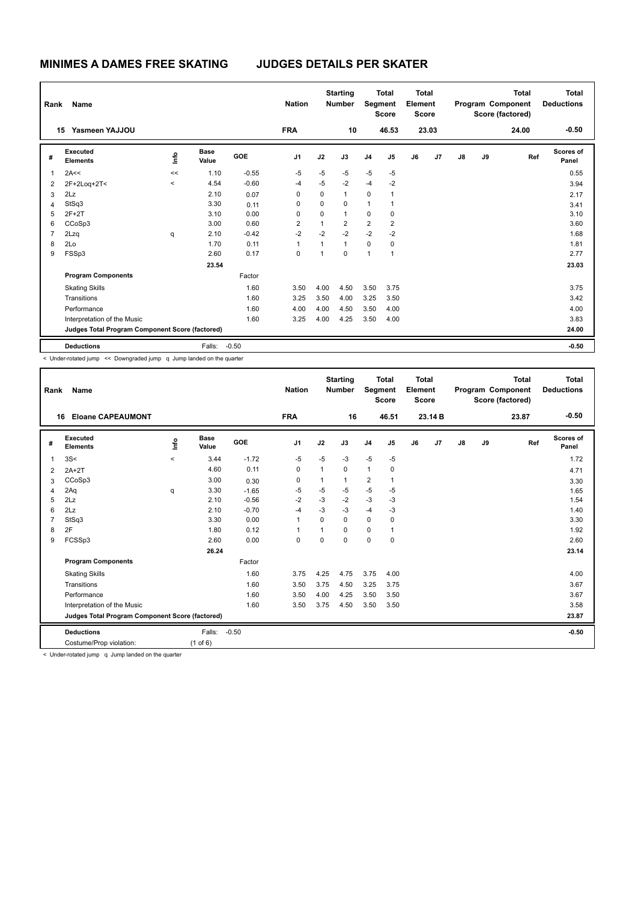| Rank           | Name                                            |         |                      |            | <b>Nation</b>  |                | <b>Starting</b><br><b>Number</b> | Segment        | <b>Total</b><br><b>Score</b> | <b>Total</b><br>Element<br><b>Score</b> |       |    |    | <b>Total</b><br>Program Component<br>Score (factored) | <b>Total</b><br><b>Deductions</b> |
|----------------|-------------------------------------------------|---------|----------------------|------------|----------------|----------------|----------------------------------|----------------|------------------------------|-----------------------------------------|-------|----|----|-------------------------------------------------------|-----------------------------------|
|                | Yasmeen YAJJOU<br>15                            |         |                      |            | <b>FRA</b>     |                | 10                               |                | 46.53                        |                                         | 23.03 |    |    | 24.00                                                 | $-0.50$                           |
| #              | Executed<br><b>Elements</b>                     | lnfo    | <b>Base</b><br>Value | <b>GOE</b> | J <sub>1</sub> | J2             | J3                               | J <sub>4</sub> | J5                           | J6                                      | J7    | J8 | J9 | Ref                                                   | Scores of<br>Panel                |
| 1              | 2A<<                                            | <<      | 1.10                 | $-0.55$    | $-5$           | $-5$           | $-5$                             | $-5$           | $-5$                         |                                         |       |    |    |                                                       | 0.55                              |
| $\overline{2}$ | 2F+2Loq+2T<                                     | $\prec$ | 4.54                 | $-0.60$    | $-4$           | $-5$           | $-2$                             | $-4$           | $-2$                         |                                         |       |    |    |                                                       | 3.94                              |
| 3              | 2Lz                                             |         | 2.10                 | 0.07       | $\Omega$       | 0              | $\mathbf{1}$                     | 0              | -1                           |                                         |       |    |    |                                                       | 2.17                              |
| 4              | StSq3                                           |         | 3.30                 | 0.11       | $\Omega$       | $\Omega$       | $\Omega$                         | 1              |                              |                                         |       |    |    |                                                       | 3.41                              |
| 5              | $2F+2T$                                         |         | 3.10                 | 0.00       | $\Omega$       | $\Omega$       | $\mathbf{1}$                     | 0              | $\Omega$                     |                                         |       |    |    |                                                       | 3.10                              |
| 6              | CCoSp3                                          |         | 3.00                 | 0.60       | $\overline{2}$ | $\overline{1}$ | $\overline{2}$                   | $\overline{2}$ | $\overline{2}$               |                                         |       |    |    |                                                       | 3.60                              |
| $\overline{7}$ | 2Lzq                                            | q       | 2.10                 | $-0.42$    | $-2$           | $-2$           | $-2$                             | $-2$           | $-2$                         |                                         |       |    |    |                                                       | 1.68                              |
| 8              | 2Lo                                             |         | 1.70                 | 0.11       | 1              | 1              | $\mathbf{1}$                     | $\mathbf 0$    | 0                            |                                         |       |    |    |                                                       | 1.81                              |
| 9              | FSSp3                                           |         | 2.60                 | 0.17       | $\Omega$       | 1              | $\mathbf 0$                      | $\overline{1}$ | $\overline{1}$               |                                         |       |    |    |                                                       | 2.77                              |
|                |                                                 |         | 23.54                |            |                |                |                                  |                |                              |                                         |       |    |    |                                                       | 23.03                             |
|                | <b>Program Components</b>                       |         |                      | Factor     |                |                |                                  |                |                              |                                         |       |    |    |                                                       |                                   |
|                | <b>Skating Skills</b>                           |         |                      | 1.60       | 3.50           | 4.00           | 4.50                             | 3.50           | 3.75                         |                                         |       |    |    |                                                       | 3.75                              |
|                | Transitions                                     |         |                      | 1.60       | 3.25           | 3.50           | 4.00                             | 3.25           | 3.50                         |                                         |       |    |    |                                                       | 3.42                              |
|                | Performance                                     |         |                      | 1.60       | 4.00           | 4.00           | 4.50                             | 3.50           | 4.00                         |                                         |       |    |    |                                                       | 4.00                              |
|                | Interpretation of the Music                     |         |                      | 1.60       | 3.25           | 4.00           | 4.25                             | 3.50           | 4.00                         |                                         |       |    |    |                                                       | 3.83                              |
|                | Judges Total Program Component Score (factored) |         |                      |            |                |                |                                  |                |                              |                                         |       |    |    |                                                       | 24.00                             |
|                | <b>Deductions</b>                               |         | Falls:               | $-0.50$    |                |                |                                  |                |                              |                                         |       |    |    |                                                       | $-0.50$                           |

< Under-rotated jump << Downgraded jump q Jump landed on the quarter

| Rank | Name                                            |                          |                      |         | <b>Nation</b>  |              | <b>Starting</b><br><b>Number</b> | Segment        | <b>Total</b><br><b>Score</b> | <b>Total</b><br>Element<br><b>Score</b> |         |    |    | <b>Total</b><br>Program Component<br>Score (factored) | Total<br><b>Deductions</b> |
|------|-------------------------------------------------|--------------------------|----------------------|---------|----------------|--------------|----------------------------------|----------------|------------------------------|-----------------------------------------|---------|----|----|-------------------------------------------------------|----------------------------|
| 16   | <b>Eloane CAPEAUMONT</b>                        |                          |                      |         | <b>FRA</b>     |              | 16                               |                | 46.51                        |                                         | 23.14 B |    |    | 23.87                                                 | $-0.50$                    |
| #    | Executed<br><b>Elements</b>                     | ١ifo                     | <b>Base</b><br>Value | GOE     | J <sub>1</sub> | J2           | J3                               | J <sub>4</sub> | J <sub>5</sub>               | J6                                      | J7      | J8 | J9 | Ref                                                   | Scores of<br>Panel         |
| 1    | 3S<                                             | $\overline{\phantom{0}}$ | 3.44                 | $-1.72$ | $-5$           | $-5$         | $-3$                             | $-5$           | $-5$                         |                                         |         |    |    |                                                       | 1.72                       |
| 2    | $2A+2T$                                         |                          | 4.60                 | 0.11    | 0              | 1            | 0                                | 1              | 0                            |                                         |         |    |    |                                                       | 4.71                       |
| 3    | CCoSp3                                          |                          | 3.00                 | 0.30    | 0              | 1            |                                  | $\overline{2}$ | $\mathbf 1$                  |                                         |         |    |    |                                                       | 3.30                       |
| 4    | 2Aq                                             | q                        | 3.30                 | $-1.65$ | $-5$           | $-5$         | $-5$                             | $-5$           | $-5$                         |                                         |         |    |    |                                                       | 1.65                       |
| 5    | 2Lz                                             |                          | 2.10                 | $-0.56$ | $-2$           | $-3$         | $-2$                             | $-3$           | $-3$                         |                                         |         |    |    |                                                       | 1.54                       |
| 6    | 2Lz                                             |                          | 2.10                 | $-0.70$ | $-4$           | $-3$         | $-3$                             | $-4$           | $-3$                         |                                         |         |    |    |                                                       | 1.40                       |
| 7    | StSq3                                           |                          | 3.30                 | 0.00    | 1              | $\Omega$     | 0                                | $\mathbf 0$    | $\mathbf 0$                  |                                         |         |    |    |                                                       | 3.30                       |
| 8    | 2F                                              |                          | 1.80                 | 0.12    | 1              | $\mathbf{1}$ | 0                                | 0              | 1                            |                                         |         |    |    |                                                       | 1.92                       |
| 9    | FCSSp3                                          |                          | 2.60                 | 0.00    | $\mathbf 0$    | $\Omega$     | $\Omega$                         | $\mathbf 0$    | $\mathbf 0$                  |                                         |         |    |    |                                                       | 2.60                       |
|      |                                                 |                          | 26.24                |         |                |              |                                  |                |                              |                                         |         |    |    |                                                       | 23.14                      |
|      | <b>Program Components</b>                       |                          |                      | Factor  |                |              |                                  |                |                              |                                         |         |    |    |                                                       |                            |
|      | <b>Skating Skills</b>                           |                          |                      | 1.60    | 3.75           | 4.25         | 4.75                             | 3.75           | 4.00                         |                                         |         |    |    |                                                       | 4.00                       |
|      | Transitions                                     |                          |                      | 1.60    | 3.50           | 3.75         | 4.50                             | 3.25           | 3.75                         |                                         |         |    |    |                                                       | 3.67                       |
|      | Performance                                     |                          |                      | 1.60    | 3.50           | 4.00         | 4.25                             | 3.50           | 3.50                         |                                         |         |    |    |                                                       | 3.67                       |
|      | Interpretation of the Music                     |                          |                      | 1.60    | 3.50           | 3.75         | 4.50                             | 3.50           | 3.50                         |                                         |         |    |    |                                                       | 3.58                       |
|      | Judges Total Program Component Score (factored) |                          |                      |         |                |              |                                  |                |                              |                                         |         |    |    |                                                       | 23.87                      |
|      | <b>Deductions</b>                               |                          | Falls:               | $-0.50$ |                |              |                                  |                |                              |                                         |         |    |    |                                                       | $-0.50$                    |
|      | Costume/Prop violation:                         |                          | $(1$ of $6)$         |         |                |              |                                  |                |                              |                                         |         |    |    |                                                       |                            |

< Under-rotated jump q Jump landed on the quarter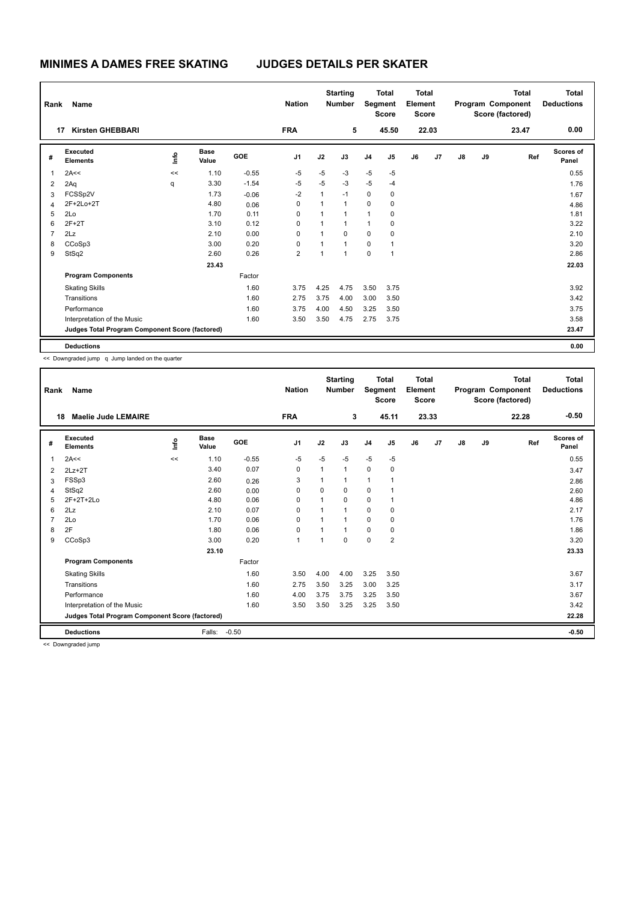| Rank           | Name                                            |      |                      |            | <b>Nation</b>  |              | <b>Starting</b><br><b>Number</b> | Segment        | <b>Total</b><br><b>Score</b> | <b>Total</b><br>Element<br><b>Score</b> |       |               |    | <b>Total</b><br>Program Component<br>Score (factored) | <b>Total</b><br><b>Deductions</b> |
|----------------|-------------------------------------------------|------|----------------------|------------|----------------|--------------|----------------------------------|----------------|------------------------------|-----------------------------------------|-------|---------------|----|-------------------------------------------------------|-----------------------------------|
|                | <b>Kirsten GHEBBARI</b><br>17                   |      |                      |            | <b>FRA</b>     |              | 5                                |                | 45.50                        |                                         | 22.03 |               |    | 23.47                                                 | 0.00                              |
| #              | Executed<br><b>Elements</b>                     | ١mfo | <b>Base</b><br>Value | <b>GOE</b> | J <sub>1</sub> | J2           | J3                               | J <sub>4</sub> | J5                           | J6                                      | J7    | $\mathsf{J}8$ | J9 | Ref                                                   | Scores of<br>Panel                |
| 1              | 2A<<                                            | <<   | 1.10                 | $-0.55$    | $-5$           | $-5$         | -3                               | $-5$           | $-5$                         |                                         |       |               |    |                                                       | 0.55                              |
| 2              | 2Aq                                             | q    | 3.30                 | $-1.54$    | $-5$           | $-5$         | $-3$                             | $-5$           | $-4$                         |                                         |       |               |    |                                                       | 1.76                              |
| 3              | FCSSp2V                                         |      | 1.73                 | $-0.06$    | $-2$           | $\mathbf{1}$ | $-1$                             | $\mathbf 0$    | 0                            |                                         |       |               |    |                                                       | 1.67                              |
| 4              | 2F+2Lo+2T                                       |      | 4.80                 | 0.06       | 0              | $\mathbf{1}$ | $\mathbf{1}$                     | 0              | 0                            |                                         |       |               |    |                                                       | 4.86                              |
| 5              | 2Lo                                             |      | 1.70                 | 0.11       | $\Omega$       | $\mathbf{1}$ | $\mathbf{1}$                     | $\mathbf{1}$   | 0                            |                                         |       |               |    |                                                       | 1.81                              |
| 6              | $2F+2T$                                         |      | 3.10                 | 0.12       | 0              | 1            | 1                                | $\mathbf{1}$   | 0                            |                                         |       |               |    |                                                       | 3.22                              |
| $\overline{7}$ | 2Lz                                             |      | 2.10                 | 0.00       | $\mathbf 0$    | $\mathbf{1}$ | $\Omega$                         | $\mathbf 0$    | $\mathbf 0$                  |                                         |       |               |    |                                                       | 2.10                              |
| 8              | CCoSp3                                          |      | 3.00                 | 0.20       | 0              |              | $\mathbf{1}$                     | $\mathbf 0$    | 1                            |                                         |       |               |    |                                                       | 3.20                              |
| 9              | StSq2                                           |      | 2.60                 | 0.26       | $\overline{2}$ | -1           | $\overline{1}$                   | 0              | $\overline{1}$               |                                         |       |               |    |                                                       | 2.86                              |
|                |                                                 |      | 23.43                |            |                |              |                                  |                |                              |                                         |       |               |    |                                                       | 22.03                             |
|                | <b>Program Components</b>                       |      |                      | Factor     |                |              |                                  |                |                              |                                         |       |               |    |                                                       |                                   |
|                | <b>Skating Skills</b>                           |      |                      | 1.60       | 3.75           | 4.25         | 4.75                             | 3.50           | 3.75                         |                                         |       |               |    |                                                       | 3.92                              |
|                | Transitions                                     |      |                      | 1.60       | 2.75           | 3.75         | 4.00                             | 3.00           | 3.50                         |                                         |       |               |    |                                                       | 3.42                              |
|                | Performance                                     |      |                      | 1.60       | 3.75           | 4.00         | 4.50                             | 3.25           | 3.50                         |                                         |       |               |    |                                                       | 3.75                              |
|                | Interpretation of the Music                     |      |                      | 1.60       | 3.50           | 3.50         | 4.75                             | 2.75           | 3.75                         |                                         |       |               |    |                                                       | 3.58                              |
|                | Judges Total Program Component Score (factored) |      |                      |            |                |              |                                  |                |                              |                                         |       |               |    |                                                       | 23.47                             |
|                | <b>Deductions</b>                               |      |                      |            |                |              |                                  |                |                              |                                         |       |               |    |                                                       | 0.00                              |

<< Downgraded jump q Jump landed on the quarter

| Rank | Name                                            |             |                      |         | <b>Nation</b>  |          | <b>Starting</b><br><b>Number</b> | Segment        | <b>Total</b><br><b>Score</b> | <b>Total</b><br>Element<br><b>Score</b> |       |               |    | <b>Total</b><br>Program Component<br>Score (factored) | <b>Total</b><br><b>Deductions</b> |
|------|-------------------------------------------------|-------------|----------------------|---------|----------------|----------|----------------------------------|----------------|------------------------------|-----------------------------------------|-------|---------------|----|-------------------------------------------------------|-----------------------------------|
| 18   | <b>Maelie Jude LEMAIRE</b>                      |             |                      |         | <b>FRA</b>     |          | 3                                |                | 45.11                        |                                         | 23.33 |               |    | 22.28                                                 | $-0.50$                           |
| #    | Executed<br><b>Elements</b>                     | <u>info</u> | <b>Base</b><br>Value | GOE     | J <sub>1</sub> | J2       | J3                               | J <sub>4</sub> | J <sub>5</sub>               | J6                                      | J7    | $\mathsf{J}8$ | J9 | Ref                                                   | <b>Scores of</b><br>Panel         |
| 1    | 2A<<                                            | <<          | 1.10                 | $-0.55$ | $-5$           | $-5$     | $-5$                             | $-5$           | $-5$                         |                                         |       |               |    |                                                       | 0.55                              |
| 2    | $2Lz+2T$                                        |             | 3.40                 | 0.07    | 0              | 1        | 1                                | $\mathbf 0$    | 0                            |                                         |       |               |    |                                                       | 3.47                              |
| 3    | FSSp3                                           |             | 2.60                 | 0.26    | 3              |          |                                  | 1              | 1                            |                                         |       |               |    |                                                       | 2.86                              |
| 4    | StSq2                                           |             | 2.60                 | 0.00    | 0              | $\Omega$ | 0                                | 0              | 1                            |                                         |       |               |    |                                                       | 2.60                              |
| 5    | $2F+2T+2Lo$                                     |             | 4.80                 | 0.06    | $\Omega$       | 1        | 0                                | 0              | 1                            |                                         |       |               |    |                                                       | 4.86                              |
| 6    | 2Lz                                             |             | 2.10                 | 0.07    | $\mathbf 0$    |          | 1                                | 0              | 0                            |                                         |       |               |    |                                                       | 2.17                              |
|      | 2Lo                                             |             | 1.70                 | 0.06    | $\mathbf 0$    |          | 1                                | $\mathbf 0$    | 0                            |                                         |       |               |    |                                                       | 1.76                              |
| 8    | 2F                                              |             | 1.80                 | 0.06    | $\mathbf 0$    |          | 1                                | 0              | 0                            |                                         |       |               |    |                                                       | 1.86                              |
| 9    | CCoSp3                                          |             | 3.00                 | 0.20    | $\overline{1}$ | 1        | 0                                | $\Omega$       | $\overline{2}$               |                                         |       |               |    |                                                       | 3.20                              |
|      |                                                 |             | 23.10                |         |                |          |                                  |                |                              |                                         |       |               |    |                                                       | 23.33                             |
|      | <b>Program Components</b>                       |             |                      | Factor  |                |          |                                  |                |                              |                                         |       |               |    |                                                       |                                   |
|      | <b>Skating Skills</b>                           |             |                      | 1.60    | 3.50           | 4.00     | 4.00                             | 3.25           | 3.50                         |                                         |       |               |    |                                                       | 3.67                              |
|      | Transitions                                     |             |                      | 1.60    | 2.75           | 3.50     | 3.25                             | 3.00           | 3.25                         |                                         |       |               |    |                                                       | 3.17                              |
|      | Performance                                     |             |                      | 1.60    | 4.00           | 3.75     | 3.75                             | 3.25           | 3.50                         |                                         |       |               |    |                                                       | 3.67                              |
|      | Interpretation of the Music                     |             |                      | 1.60    | 3.50           | 3.50     | 3.25                             | 3.25           | 3.50                         |                                         |       |               |    |                                                       | 3.42                              |
|      | Judges Total Program Component Score (factored) |             |                      |         |                |          |                                  |                |                              |                                         |       |               |    |                                                       | 22.28                             |
|      | <b>Deductions</b>                               |             | Falls:               | $-0.50$ |                |          |                                  |                |                              |                                         |       |               |    |                                                       | $-0.50$                           |

<< Downgraded jump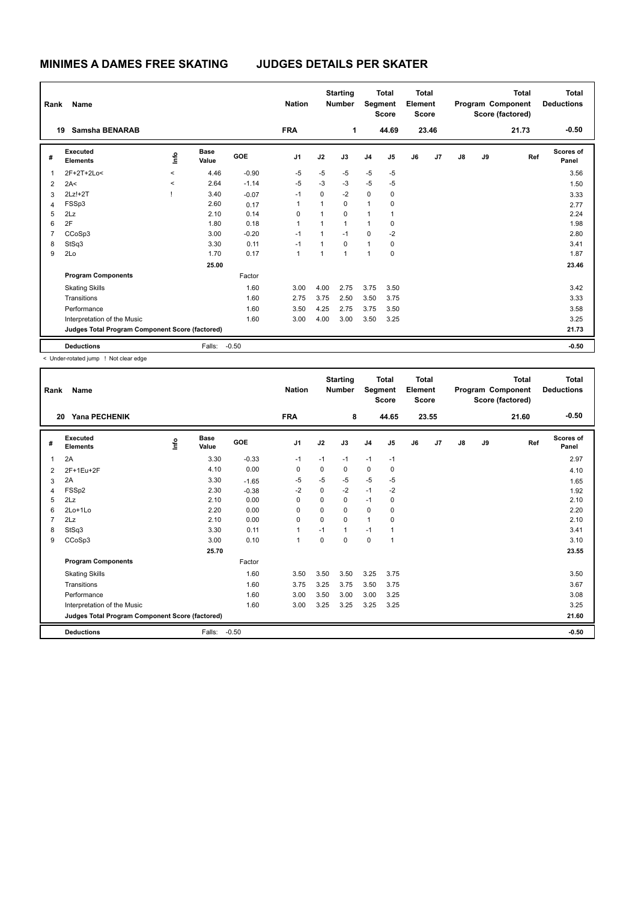| Rank           | Name                                            |         |                      |            | <b>Nation</b>  |                | <b>Starting</b><br><b>Number</b> | Segment        | <b>Total</b><br><b>Score</b> | <b>Total</b><br>Element<br>Score |       |    |    | <b>Total</b><br>Program Component<br>Score (factored) | Total<br><b>Deductions</b> |
|----------------|-------------------------------------------------|---------|----------------------|------------|----------------|----------------|----------------------------------|----------------|------------------------------|----------------------------------|-------|----|----|-------------------------------------------------------|----------------------------|
|                | <b>Samsha BENARAB</b><br>19                     |         |                      |            | <b>FRA</b>     |                | 1                                |                | 44.69                        |                                  | 23.46 |    |    | 21.73                                                 | $-0.50$                    |
| #              | Executed<br><b>Elements</b>                     | lnfo    | <b>Base</b><br>Value | <b>GOE</b> | J <sub>1</sub> | J2             | J3                               | J <sub>4</sub> | J5                           | J6                               | J7    | J8 | J9 | Ref                                                   | Scores of<br>Panel         |
| 1              | 2F+2T+2Lo<                                      | $\prec$ | 4.46                 | $-0.90$    | $-5$           | $-5$           | $-5$                             | $-5$           | $-5$                         |                                  |       |    |    |                                                       | 3.56                       |
| 2              | 2A<                                             | $\prec$ | 2.64                 | $-1.14$    | $-5$           | $-3$           | -3                               | $-5$           | $-5$                         |                                  |       |    |    |                                                       | 1.50                       |
| 3              | $2Lz!+2T$                                       |         | 3.40                 | $-0.07$    | $-1$           | 0              | $-2$                             | $\mathbf 0$    | 0                            |                                  |       |    |    |                                                       | 3.33                       |
| 4              | FSSp3                                           |         | 2.60                 | 0.17       | 1              | 1              | $\mathbf 0$                      | 1              | 0                            |                                  |       |    |    |                                                       | 2.77                       |
| 5              | 2Lz                                             |         | 2.10                 | 0.14       | $\Omega$       | 1              | $\mathbf 0$                      | 1              | 1                            |                                  |       |    |    |                                                       | 2.24                       |
| 6              | 2F                                              |         | 1.80                 | 0.18       | 1              | 1              | $\mathbf{1}$                     | 1              | 0                            |                                  |       |    |    |                                                       | 1.98                       |
| $\overline{7}$ | CCoSp3                                          |         | 3.00                 | $-0.20$    | $-1$           | 1              | $-1$                             | 0              | $-2$                         |                                  |       |    |    |                                                       | 2.80                       |
| 8              | StSq3                                           |         | 3.30                 | 0.11       | $-1$           | 1              | $\mathbf 0$                      | $\mathbf{1}$   | 0                            |                                  |       |    |    |                                                       | 3.41                       |
| 9              | 2Lo                                             |         | 1.70                 | 0.17       | 1              | $\overline{1}$ | $\overline{1}$                   | $\overline{1}$ | 0                            |                                  |       |    |    |                                                       | 1.87                       |
|                |                                                 |         | 25.00                |            |                |                |                                  |                |                              |                                  |       |    |    |                                                       | 23.46                      |
|                | <b>Program Components</b>                       |         |                      | Factor     |                |                |                                  |                |                              |                                  |       |    |    |                                                       |                            |
|                | <b>Skating Skills</b>                           |         |                      | 1.60       | 3.00           | 4.00           | 2.75                             | 3.75           | 3.50                         |                                  |       |    |    |                                                       | 3.42                       |
|                | Transitions                                     |         |                      | 1.60       | 2.75           | 3.75           | 2.50                             | 3.50           | 3.75                         |                                  |       |    |    |                                                       | 3.33                       |
|                | Performance                                     |         |                      | 1.60       | 3.50           | 4.25           | 2.75                             | 3.75           | 3.50                         |                                  |       |    |    |                                                       | 3.58                       |
|                | Interpretation of the Music                     |         |                      | 1.60       | 3.00           | 4.00           | 3.00                             | 3.50           | 3.25                         |                                  |       |    |    |                                                       | 3.25                       |
|                | Judges Total Program Component Score (factored) |         |                      |            |                |                |                                  |                |                              |                                  |       |    |    |                                                       | 21.73                      |
|                | <b>Deductions</b>                               |         | Falls:               | $-0.50$    |                |                |                                  |                |                              |                                  |       |    |    |                                                       | $-0.50$                    |

< Under-rotated jump ! Not clear edge

| Rank           | Name                                            |    |                      |         | <b>Nation</b>  |          | <b>Starting</b><br><b>Number</b> |                | <b>Total</b><br>Segment<br><b>Score</b> | <b>Total</b><br>Element<br><b>Score</b> |       |               |    | <b>Total</b><br>Program Component<br>Score (factored) | Total<br><b>Deductions</b> |
|----------------|-------------------------------------------------|----|----------------------|---------|----------------|----------|----------------------------------|----------------|-----------------------------------------|-----------------------------------------|-------|---------------|----|-------------------------------------------------------|----------------------------|
| 20             | <b>Yana PECHENIK</b>                            |    |                      |         | <b>FRA</b>     |          | 8                                |                | 44.65                                   |                                         | 23.55 |               |    | 21.60                                                 | $-0.50$                    |
| #              | Executed<br><b>Elements</b>                     | ۴٥ | <b>Base</b><br>Value | GOE     | J1             | J2       | J3                               | J <sub>4</sub> | J5                                      | J6                                      | J7    | $\mathsf{J}8$ | J9 | Ref                                                   | <b>Scores of</b><br>Panel  |
| 1              | 2A                                              |    | 3.30                 | $-0.33$ | $-1$           | $-1$     | $-1$                             | $-1$           | $-1$                                    |                                         |       |               |    |                                                       | 2.97                       |
| 2              | 2F+1Eu+2F                                       |    | 4.10                 | 0.00    | 0              | 0        | 0                                | 0              | 0                                       |                                         |       |               |    |                                                       | 4.10                       |
| 3              | 2A                                              |    | 3.30                 | $-1.65$ | $-5$           | $-5$     | $-5$                             | $-5$           | $-5$                                    |                                         |       |               |    |                                                       | 1.65                       |
| 4              | FSSp2                                           |    | 2.30                 | $-0.38$ | $-2$           | 0        | $-2$                             | $-1$           | $-2$                                    |                                         |       |               |    |                                                       | 1.92                       |
| 5              | 2Lz                                             |    | 2.10                 | 0.00    | $\Omega$       | $\Omega$ | 0                                | $-1$           | 0                                       |                                         |       |               |    |                                                       | 2.10                       |
| 6              | $2Lo+1Lo$                                       |    | 2.20                 | 0.00    | $\Omega$       | $\Omega$ | 0                                | 0              | 0                                       |                                         |       |               |    |                                                       | 2.20                       |
| $\overline{7}$ | 2Lz                                             |    | 2.10                 | 0.00    | $\mathbf 0$    | 0        | 0                                | $\mathbf{1}$   | 0                                       |                                         |       |               |    |                                                       | 2.10                       |
| 8              | StSq3                                           |    | 3.30                 | 0.11    | 1              | $-1$     | 1                                | $-1$           | 1                                       |                                         |       |               |    |                                                       | 3.41                       |
| 9              | CCoSp3                                          |    | 3.00                 | 0.10    | $\overline{1}$ | $\Omega$ | $\Omega$                         | $\mathbf 0$    | $\overline{1}$                          |                                         |       |               |    |                                                       | 3.10                       |
|                |                                                 |    | 25.70                |         |                |          |                                  |                |                                         |                                         |       |               |    |                                                       | 23.55                      |
|                | <b>Program Components</b>                       |    |                      | Factor  |                |          |                                  |                |                                         |                                         |       |               |    |                                                       |                            |
|                | <b>Skating Skills</b>                           |    |                      | 1.60    | 3.50           | 3.50     | 3.50                             | 3.25           | 3.75                                    |                                         |       |               |    |                                                       | 3.50                       |
|                | Transitions                                     |    |                      | 1.60    | 3.75           | 3.25     | 3.75                             | 3.50           | 3.75                                    |                                         |       |               |    |                                                       | 3.67                       |
|                | Performance                                     |    |                      | 1.60    | 3.00           | 3.50     | 3.00                             | 3.00           | 3.25                                    |                                         |       |               |    |                                                       | 3.08                       |
|                | Interpretation of the Music                     |    |                      | 1.60    | 3.00           | 3.25     | 3.25                             | 3.25           | 3.25                                    |                                         |       |               |    |                                                       | 3.25                       |
|                | Judges Total Program Component Score (factored) |    |                      |         |                |          |                                  |                |                                         |                                         |       |               |    |                                                       | 21.60                      |
|                | <b>Deductions</b>                               |    | Falls:               | $-0.50$ |                |          |                                  |                |                                         |                                         |       |               |    |                                                       | $-0.50$                    |